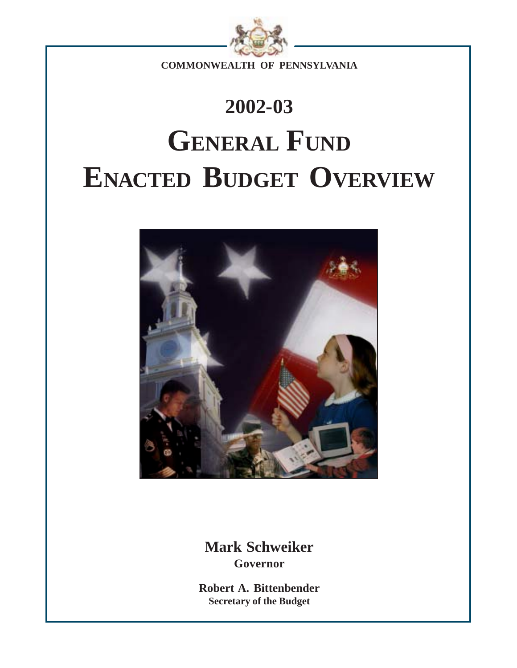

**COMMONWEALTH OF PENNSYLVANIA**

# **2002-03 GENERAL FUND ENACTED BUDGET OVERVIEW**



**Mark Schweiker Governor**

**Robert A. Bittenbender Secretary of the Budget**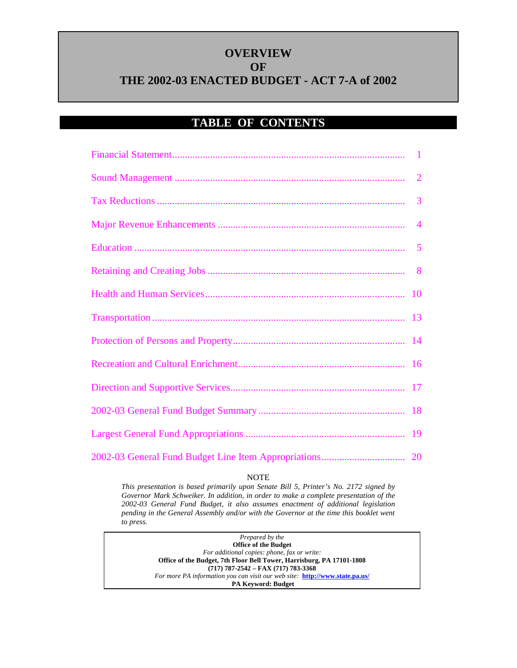### **OVERVIEW OF THE 2002-03 ENACTED BUDGET - ACT 7-A of 2002**

### **TABLE OF CONTENTS**

#### NOTE

*This presentation is based primarily upon Senate Bill 5, Printer's No. 2172 signed by Governor Mark Schweiker. In addition, in order to make a complete presentation of the 2002-03 General Fund Budget, it also assumes enactment of additional legislation pending in the General Assembly and/or with the Governor at the time this booklet went to press.*

> *Prepared by the* **Office of the Budget** *For additional copies: phone, fax or write:* **Office of the Budget, 7th Floor Bell Tower, Harrisburg, PA 17101-1808 (717) 787-2542 – FAX (717) 783-3368** *For more PA information you can visit our web site:* **http://www.state.pa.us/ PA Keyword: Budget**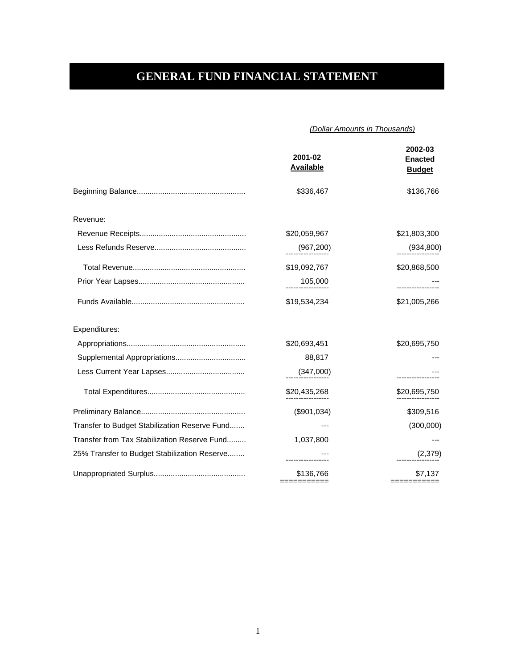### <span id="page-2-0"></span>**GENERAL FUND FINANCIAL STATEMENT**

#### *(Dollar Amounts in Thousands)*

|                                               | 2001-02<br><b>Available</b> | 2002-03<br><b>Enacted</b><br><b>Budget</b> |
|-----------------------------------------------|-----------------------------|--------------------------------------------|
|                                               | \$336,467                   | \$136,766                                  |
| Revenue:                                      |                             |                                            |
|                                               | \$20,059,967                | \$21,803,300                               |
|                                               | (967, 200)                  | (934, 800)                                 |
|                                               | \$19,092,767                | \$20,868,500                               |
|                                               | 105,000                     |                                            |
|                                               | \$19,534,234                | \$21,005,266                               |
| Expenditures:                                 |                             |                                            |
|                                               | \$20,693,451                | \$20,695,750                               |
|                                               | 88,817                      |                                            |
|                                               | (347,000)                   |                                            |
|                                               | \$20,435,268                | \$20,695,750                               |
|                                               | (\$901,034)                 | \$309,516                                  |
| Transfer to Budget Stabilization Reserve Fund |                             | (300,000)                                  |
| Transfer from Tax Stabilization Reserve Fund  | 1,037,800                   |                                            |
| 25% Transfer to Budget Stabilization Reserve  |                             | (2,379)                                    |
|                                               | \$136,766                   | \$7,137<br>===========                     |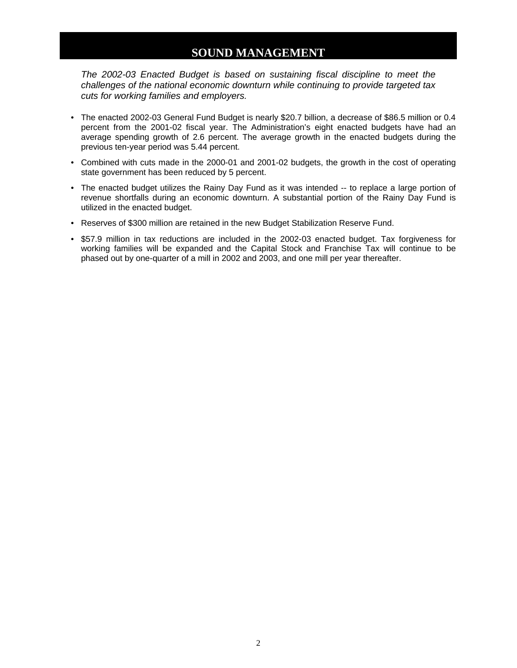### **SOUND MANAGEMENT**

<span id="page-3-0"></span>*The 2002-03 Enacted Budget is based on sustaining fiscal discipline to meet the challenges of the national economic downturn while continuing to provide targeted tax cuts for working families and employers.*

- The enacted 2002-03 General Fund Budget is nearly \$20.7 billion, a decrease of \$86.5 million or 0.4 percent from the 2001-02 fiscal year. The Administration's eight enacted budgets have had an average spending growth of 2.6 percent. The average growth in the enacted budgets during the previous ten-year period was 5.44 percent.
- Combined with cuts made in the 2000-01 and 2001-02 budgets, the growth in the cost of operating state government has been reduced by 5 percent.
- The enacted budget utilizes the Rainy Day Fund as it was intended -- to replace a large portion of revenue shortfalls during an economic downturn. A substantial portion of the Rainy Day Fund is utilized in the enacted budget.
- Reserves of \$300 million are retained in the new Budget Stabilization Reserve Fund.
- \$57.9 million in tax reductions are included in the 2002-03 enacted budget. Tax forgiveness for working families will be expanded and the Capital Stock and Franchise Tax will continue to be phased out by one-quarter of a mill in 2002 and 2003, and one mill per year thereafter.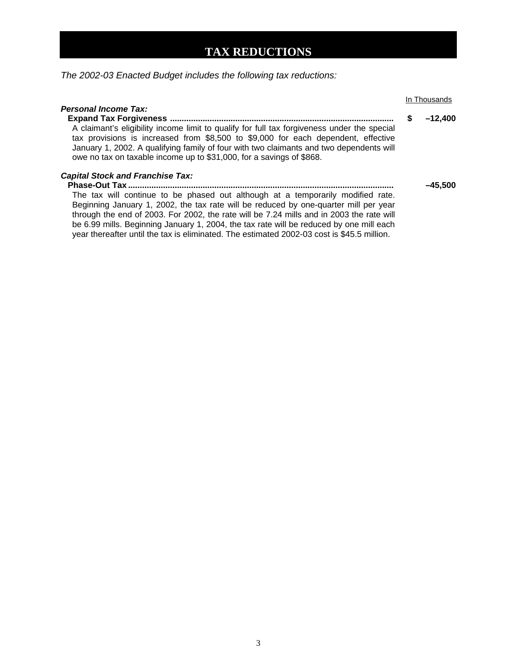### **TAX REDUCTIONS**

<span id="page-4-0"></span>*The 2002-03 Enacted Budget includes the following tax reductions:*

|                                                                                                                                                                                                                                                                                                                                                                                                                                                                                                                                  |   | In Thousands |
|----------------------------------------------------------------------------------------------------------------------------------------------------------------------------------------------------------------------------------------------------------------------------------------------------------------------------------------------------------------------------------------------------------------------------------------------------------------------------------------------------------------------------------|---|--------------|
| <b>Personal Income Tax:</b><br>A claimant's eligibility income limit to qualify for full tax forgiveness under the special<br>tax provisions is increased from \$8,500 to \$9,000 for each dependent, effective<br>January 1, 2002. A qualifying family of four with two claimants and two dependents will<br>owe no tax on taxable income up to \$31,000, for a savings of \$868.                                                                                                                                               | S | $-12,400$    |
| <b>Capital Stock and Franchise Tax:</b><br><b>Phase-Out Tax </b><br>The tax will continue to be phased out although at a temporarily modified rate.<br>Beginning January 1, 2002, the tax rate will be reduced by one-quarter mill per year<br>through the end of 2003. For 2002, the rate will be 7.24 mills and in 2003 the rate will<br>be 6.99 mills. Beginning January 1, 2004, the tax rate will be reduced by one mill each<br>year thereafter until the tax is eliminated. The estimated 2002-03 cost is \$45.5 million. |   | $-45,500$    |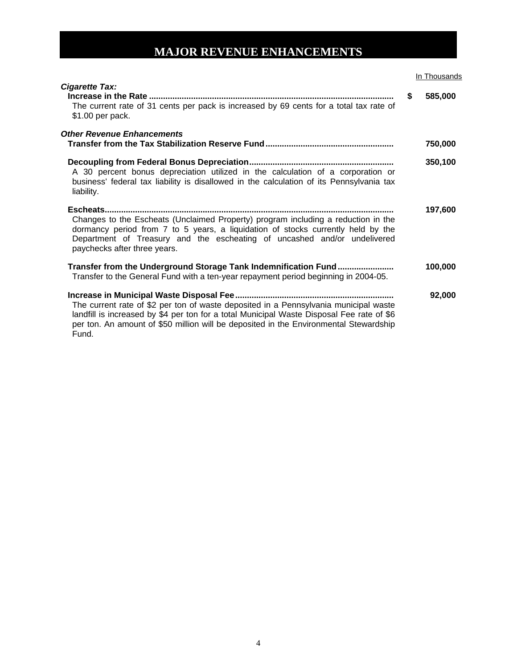### **MAJOR REVENUE ENHANCEMENTS**

#### **In Thousands**

<span id="page-5-0"></span>

| <b>Cigarette Tax:</b><br>The current rate of 31 cents per pack is increased by 69 cents for a total tax rate of<br>\$1.00 per pack.                                                                                                                                                 | \$<br>585,000 |
|-------------------------------------------------------------------------------------------------------------------------------------------------------------------------------------------------------------------------------------------------------------------------------------|---------------|
| <b>Other Revenue Enhancements</b>                                                                                                                                                                                                                                                   | 750,000       |
| A 30 percent bonus depreciation utilized in the calculation of a corporation or<br>business' federal tax liability is disallowed in the calculation of its Pennsylvania tax<br>liability.                                                                                           | 350,100       |
| Changes to the Escheats (Unclaimed Property) program including a reduction in the<br>dormancy period from 7 to 5 years, a liquidation of stocks currently held by the<br>Department of Treasury and the escheating of uncashed and/or undelivered<br>paychecks after three years.   | 197,600       |
| Transfer from the Underground Storage Tank Indemnification Fund<br>Transfer to the General Fund with a ten-year repayment period beginning in 2004-05.                                                                                                                              | 100,000       |
| The current rate of \$2 per ton of waste deposited in a Pennsylvania municipal waste<br>landfill is increased by \$4 per ton for a total Municipal Waste Disposal Fee rate of \$6<br>per ton. An amount of \$50 million will be deposited in the Environmental Stewardship<br>Fund. | 92,000        |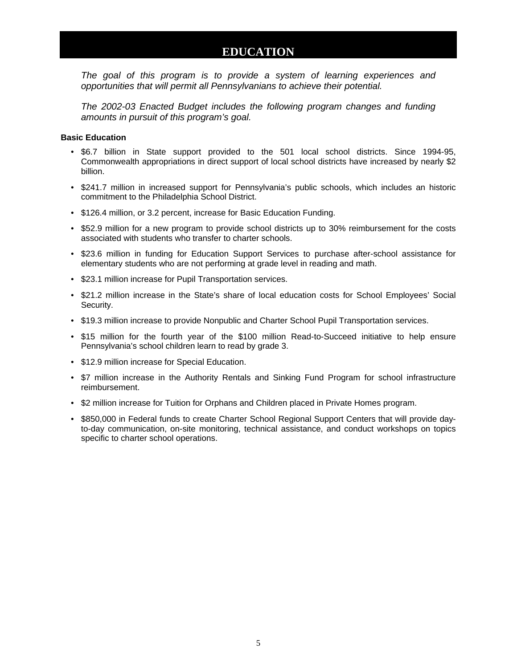### **EDUCATION**

<span id="page-6-0"></span>*The goal of this program is to provide a system of learning experiences and opportunities that will permit all Pennsylvanians to achieve their potential.*

*The 2002-03 Enacted Budget includes the following program changes and funding amounts in pursuit of this program's goal.*

#### **Basic Education**

- \$6.7 billion in State support provided to the 501 local school districts. Since 1994-95, Commonwealth appropriations in direct support of local school districts have increased by nearly \$2 billion.
- \$241.7 million in increased support for Pennsylvania's public schools, which includes an historic commitment to the Philadelphia School District.
- \$126.4 million, or 3.2 percent, increase for Basic Education Funding.
- \$52.9 million for a new program to provide school districts up to 30% reimbursement for the costs associated with students who transfer to charter schools.
- \$23.6 million in funding for Education Support Services to purchase after-school assistance for elementary students who are not performing at grade level in reading and math.
- \$23.1 million increase for Pupil Transportation services.
- \$21.2 million increase in the State's share of local education costs for School Employees' Social Security.
- \$19.3 million increase to provide Nonpublic and Charter School Pupil Transportation services.
- \$15 million for the fourth year of the \$100 million Read-to-Succeed initiative to help ensure Pennsylvania's school children learn to read by grade 3.
- \$12.9 million increase for Special Education.
- \$7 million increase in the Authority Rentals and Sinking Fund Program for school infrastructure reimbursement.
- \$2 million increase for Tuition for Orphans and Children placed in Private Homes program.
- \$850,000 in Federal funds to create Charter School Regional Support Centers that will provide dayto-day communication, on-site monitoring, technical assistance, and conduct workshops on topics specific to charter school operations.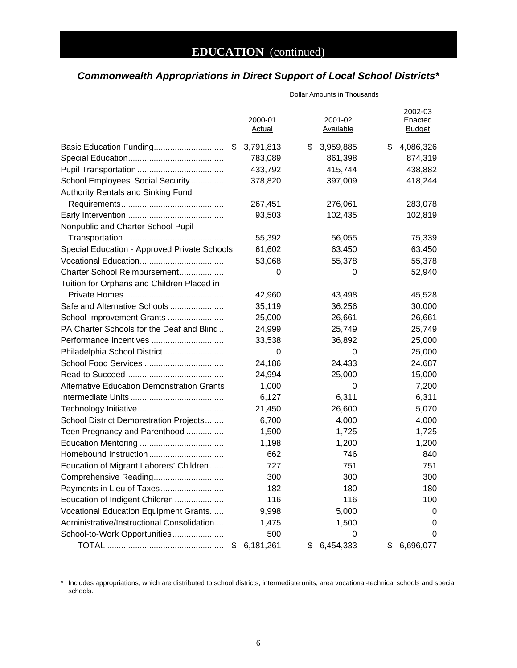### *Commonwealth Appropriations in Direct Support of Local School Districts\**

|                                                   | 2000-01<br><b>Actual</b> | 2001-02<br><b>Available</b> | 2002-03<br>Enacted<br><b>Budget</b> |
|---------------------------------------------------|--------------------------|-----------------------------|-------------------------------------|
| Basic Education Funding<br>\$                     | 3,791,813                | 3,959,885<br>\$             | 4,086,326<br>\$                     |
|                                                   | 783,089                  | 861,398                     | 874,319                             |
|                                                   | 433,792                  | 415,744                     | 438,882                             |
| School Employees' Social Security                 | 378,820                  | 397,009                     | 418,244                             |
| Authority Rentals and Sinking Fund                |                          |                             |                                     |
|                                                   | 267,451                  | 276,061                     | 283,078                             |
|                                                   | 93,503                   | 102,435                     | 102,819                             |
| Nonpublic and Charter School Pupil                |                          |                             |                                     |
|                                                   | 55,392                   | 56,055                      | 75,339                              |
| Special Education - Approved Private Schools      | 61,602                   | 63,450                      | 63,450                              |
|                                                   | 53,068                   | 55,378                      | 55,378                              |
| Charter School Reimbursement                      | 0                        | 0                           | 52,940                              |
| Tuition for Orphans and Children Placed in        |                          |                             |                                     |
|                                                   | 42,960                   | 43,498                      | 45,528                              |
| Safe and Alternative Schools                      | 35,119                   | 36,256                      | 30,000                              |
| School Improvement Grants                         | 25,000                   | 26,661                      | 26,661                              |
| PA Charter Schools for the Deaf and Blind         | 24,999                   | 25,749                      | 25,749                              |
| Performance Incentives                            | 33,538                   | 36,892                      | 25,000                              |
| Philadelphia School District                      | 0                        | 0                           | 25,000                              |
|                                                   | 24,186                   | 24,433                      | 24,687                              |
|                                                   | 24,994                   | 25,000                      | 15,000                              |
| <b>Alternative Education Demonstration Grants</b> | 1,000                    | 0                           | 7,200                               |
|                                                   | 6,127                    | 6,311                       | 6,311                               |
|                                                   | 21,450                   | 26,600                      | 5,070                               |
| School District Demonstration Projects            | 6,700                    | 4,000                       | 4,000                               |
| Teen Pregnancy and Parenthood                     | 1,500                    | 1,725                       | 1,725                               |
|                                                   | 1,198                    | 1,200                       | 1,200                               |
|                                                   | 662                      | 746                         | 840                                 |
| Education of Migrant Laborers' Children           | 727                      | 751                         | 751                                 |
| Comprehensive Reading                             | 300                      | 300                         | 300                                 |
|                                                   | 182                      | 180                         | 180                                 |
| Education of Indigent Children                    | 116                      | 116                         | 100                                 |
| Vocational Education Equipment Grants             | 9,998                    | 5,000                       | 0                                   |
| Administrative/Instructional Consolidation        | 1,475                    | 1,500                       | O                                   |
| School-to-Work Opportunities                      | 500                      | 0                           | O                                   |
| \$                                                | 6,181,261                | 6,454,333<br>\$             | 6,696,077<br>\$                     |

Dollar Amounts in Thousands

<sup>\*</sup> Includes appropriations, which are distributed to school districts, intermediate units, area vocational-technical schools and special schools.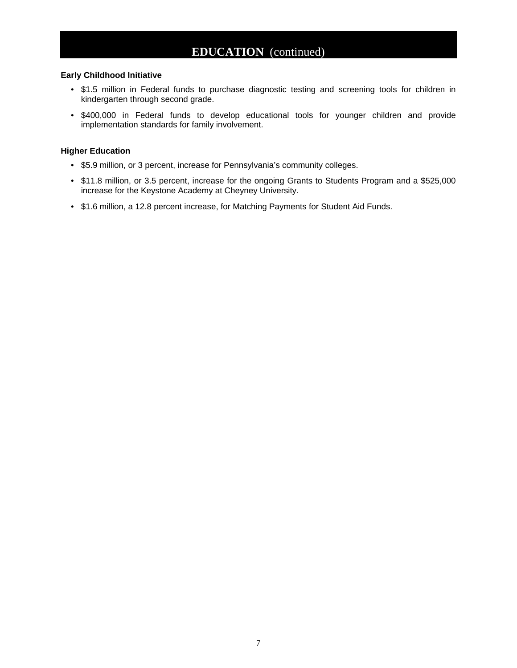### **EDUCATION** (continued)

#### **Early Childhood Initiative**

- \$1.5 million in Federal funds to purchase diagnostic testing and screening tools for children in kindergarten through second grade.
- \$400,000 in Federal funds to develop educational tools for younger children and provide implementation standards for family involvement.

#### **Higher Education**

- \$5.9 million, or 3 percent, increase for Pennsylvania's community colleges.
- \$11.8 million, or 3.5 percent, increase for the ongoing Grants to Students Program and a \$525,000 increase for the Keystone Academy at Cheyney University.
- \$1.6 million, a 12.8 percent increase, for Matching Payments for Student Aid Funds.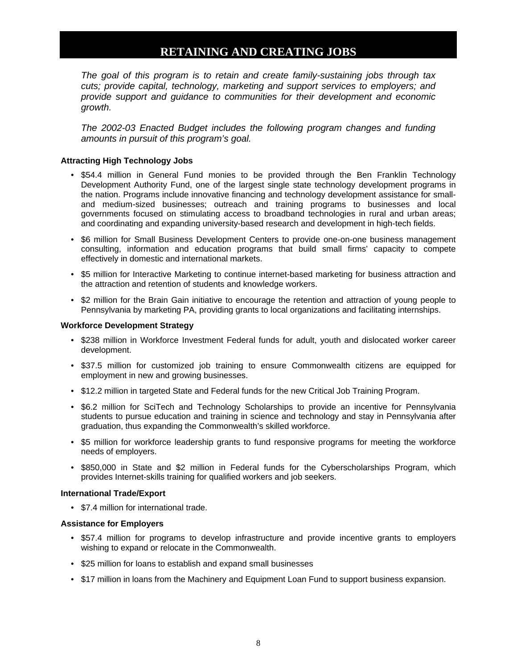### **RETAINING AND CREATING JOBS**

<span id="page-9-0"></span>*The goal of this program is to retain and create family-sustaining jobs through tax cuts; provide capital, technology, marketing and support services to employers; and provide support and guidance to communities for their development and economic growth.*

*The 2002-03 Enacted Budget includes the following program changes and funding amounts in pursuit of this program's goal.*

#### **Attracting High Technology Jobs**

- \$54.4 million in General Fund monies to be provided through the Ben Franklin Technology Development Authority Fund, one of the largest single state technology development programs in the nation. Programs include innovative financing and technology development assistance for smalland medium-sized businesses; outreach and training programs to businesses and local governments focused on stimulating access to broadband technologies in rural and urban areas; and coordinating and expanding university-based research and development in high-tech fields.
- \$6 million for Small Business Development Centers to provide one-on-one business management consulting, information and education programs that build small firms' capacity to compete effectively in domestic and international markets.
- \$5 million for Interactive Marketing to continue internet-based marketing for business attraction and the attraction and retention of students and knowledge workers.
- \$2 million for the Brain Gain initiative to encourage the retention and attraction of young people to Pennsylvania by marketing PA, providing grants to local organizations and facilitating internships.

#### **Workforce Development Strategy**

- \$238 million in Workforce Investment Federal funds for adult, youth and dislocated worker career development.
- \$37.5 million for customized job training to ensure Commonwealth citizens are equipped for employment in new and growing businesses.
- \$12.2 million in targeted State and Federal funds for the new Critical Job Training Program.
- \$6.2 million for SciTech and Technology Scholarships to provide an incentive for Pennsylvania students to pursue education and training in science and technology and stay in Pennsylvania after graduation, thus expanding the Commonwealth's skilled workforce.
- \$5 million for workforce leadership grants to fund responsive programs for meeting the workforce needs of employers.
- \$850,000 in State and \$2 million in Federal funds for the Cyberscholarships Program, which provides Internet-skills training for qualified workers and job seekers.

#### **International Trade/Export**

• \$7.4 million for international trade.

#### **Assistance for Employers**

- \$57.4 million for programs to develop infrastructure and provide incentive grants to employers wishing to expand or relocate in the Commonwealth.
- \$25 million for loans to establish and expand small businesses
- \$17 million in loans from the Machinery and Equipment Loan Fund to support business expansion.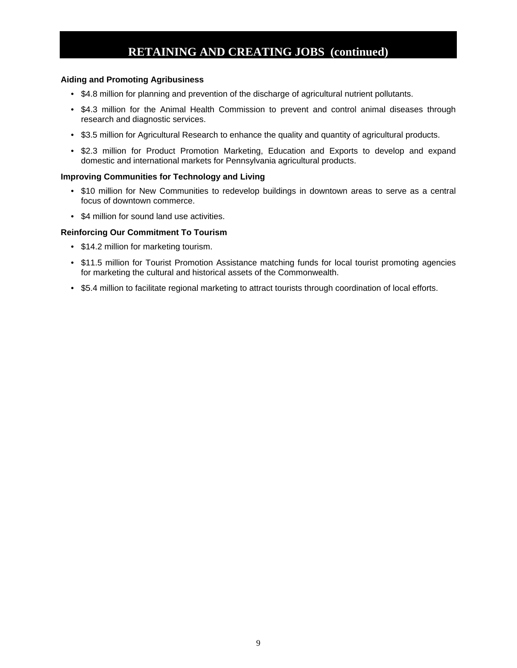### **RETAINING AND CREATING JOBS (continued)**

#### **Aiding and Promoting Agribusiness**

- \$4.8 million for planning and prevention of the discharge of agricultural nutrient pollutants.
- \$4.3 million for the Animal Health Commission to prevent and control animal diseases through research and diagnostic services.
- \$3.5 million for Agricultural Research to enhance the quality and quantity of agricultural products.
- \$2.3 million for Product Promotion Marketing, Education and Exports to develop and expand domestic and international markets for Pennsylvania agricultural products.

#### **Improving Communities for Technology and Living**

- \$10 million for New Communities to redevelop buildings in downtown areas to serve as a central focus of downtown commerce.
- \$4 million for sound land use activities.

#### **Reinforcing Our Commitment To Tourism**

- \$14.2 million for marketing tourism.
- \$11.5 million for Tourist Promotion Assistance matching funds for local tourist promoting agencies for marketing the cultural and historical assets of the Commonwealth.
- \$5.4 million to facilitate regional marketing to attract tourists through coordination of local efforts.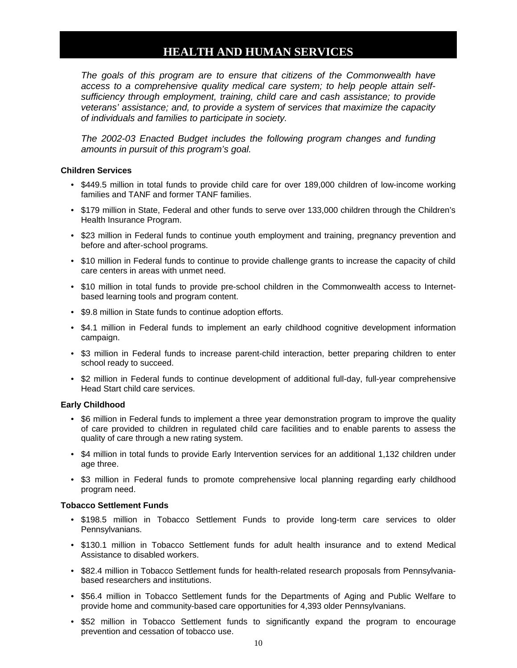### **HEALTH AND HUMAN SERVICES**

<span id="page-11-0"></span>*The goals of this program are to ensure that citizens of the Commonwealth have access to a comprehensive quality medical care system; to help people attain selfsufficiency through employment, training, child care and cash assistance; to provide veterans' assistance; and, to provide a system of services that maximize the capacity of individuals and families to participate in society.*

*The 2002-03 Enacted Budget includes the following program changes and funding amounts in pursuit of this program's goal.*

#### **Children Services**

- \$449.5 million in total funds to provide child care for over 189,000 children of low-income working families and TANF and former TANF families.
- \$179 million in State, Federal and other funds to serve over 133,000 children through the Children's Health Insurance Program.
- \$23 million in Federal funds to continue youth employment and training, pregnancy prevention and before and after-school programs.
- \$10 million in Federal funds to continue to provide challenge grants to increase the capacity of child care centers in areas with unmet need.
- \$10 million in total funds to provide pre-school children in the Commonwealth access to Internetbased learning tools and program content.
- \$9.8 million in State funds to continue adoption efforts.
- \$4.1 million in Federal funds to implement an early childhood cognitive development information campaign.
- \$3 million in Federal funds to increase parent-child interaction, better preparing children to enter school ready to succeed.
- \$2 million in Federal funds to continue development of additional full-day, full-year comprehensive Head Start child care services.

#### **Early Childhood**

- \$6 million in Federal funds to implement a three year demonstration program to improve the quality of care provided to children in regulated child care facilities and to enable parents to assess the quality of care through a new rating system.
- \$4 million in total funds to provide Early Intervention services for an additional 1,132 children under age three.
- \$3 million in Federal funds to promote comprehensive local planning regarding early childhood program need.

#### **Tobacco Settlement Funds**

- \$198.5 million in Tobacco Settlement Funds to provide long-term care services to older Pennsylvanians.
- \$130.1 million in Tobacco Settlement funds for adult health insurance and to extend Medical Assistance to disabled workers.
- \$82.4 million in Tobacco Settlement funds for health-related research proposals from Pennsylvaniabased researchers and institutions.
- \$56.4 million in Tobacco Settlement funds for the Departments of Aging and Public Welfare to provide home and community-based care opportunities for 4,393 older Pennsylvanians.
- \$52 million in Tobacco Settlement funds to significantly expand the program to encourage prevention and cessation of tobacco use.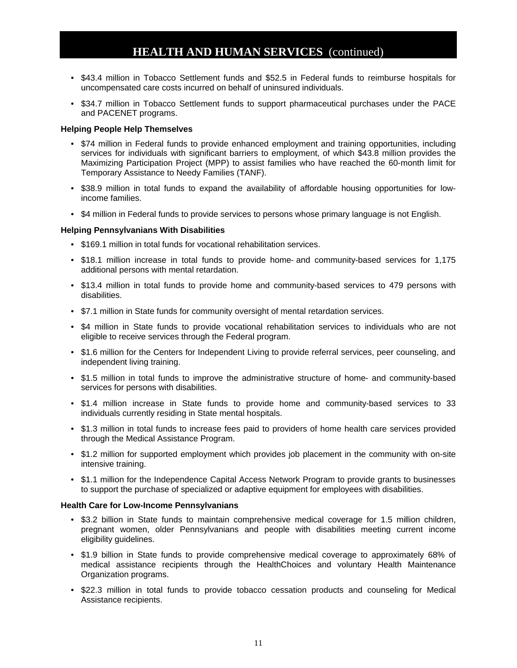### **HEALTH AND HUMAN SERVICES** (continued)

- \$43.4 million in Tobacco Settlement funds and \$52.5 in Federal funds to reimburse hospitals for uncompensated care costs incurred on behalf of uninsured individuals.
- \$34.7 million in Tobacco Settlement funds to support pharmaceutical purchases under the PACE and PACENET programs.

#### **Helping People Help Themselves**

- \$74 million in Federal funds to provide enhanced employment and training opportunities, including services for individuals with significant barriers to employment, of which \$43.8 million provides the Maximizing Participation Project (MPP) to assist families who have reached the 60-month limit for Temporary Assistance to Needy Families (TANF).
- \$38.9 million in total funds to expand the availability of affordable housing opportunities for lowincome families.
- \$4 million in Federal funds to provide services to persons whose primary language is not English.

#### **Helping Pennsylvanians With Disabilities**

- \$169.1 million in total funds for vocational rehabilitation services.
- \$18.1 million increase in total funds to provide home- and community-based services for 1,175 additional persons with mental retardation.
- \$13.4 million in total funds to provide home and community-based services to 479 persons with disabilities.
- \$7.1 million in State funds for community oversight of mental retardation services.
- \$4 million in State funds to provide vocational rehabilitation services to individuals who are not eligible to receive services through the Federal program.
- \$1.6 million for the Centers for Independent Living to provide referral services, peer counseling, and independent living training.
- \$1.5 million in total funds to improve the administrative structure of home- and community-based services for persons with disabilities.
- \$1.4 million increase in State funds to provide home and community-based services to 33 individuals currently residing in State mental hospitals.
- \$1.3 million in total funds to increase fees paid to providers of home health care services provided through the Medical Assistance Program.
- \$1.2 million for supported employment which provides job placement in the community with on-site intensive training.
- \$1.1 million for the Independence Capital Access Network Program to provide grants to businesses to support the purchase of specialized or adaptive equipment for employees with disabilities.

#### **Health Care for Low-Income Pennsylvanians**

- \$3.2 billion in State funds to maintain comprehensive medical coverage for 1.5 million children, pregnant women, older Pennsylvanians and people with disabilities meeting current income eligibility guidelines.
- \$1.9 billion in State funds to provide comprehensive medical coverage to approximately 68% of medical assistance recipients through the HealthChoices and voluntary Health Maintenance Organization programs.
- \$22.3 million in total funds to provide tobacco cessation products and counseling for Medical Assistance recipients.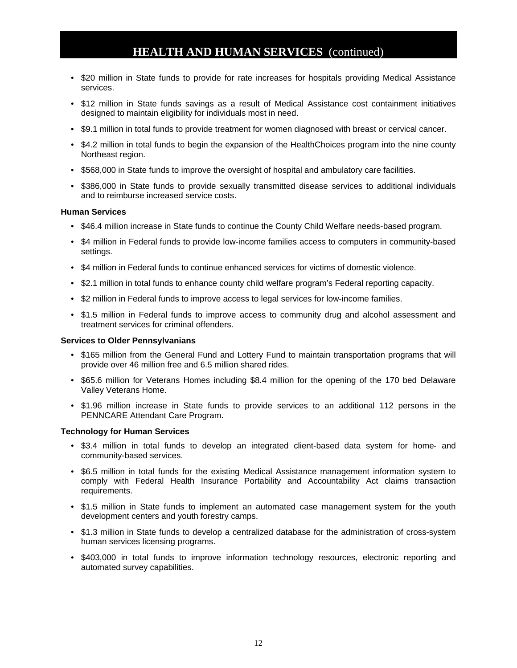### **HEALTH AND HUMAN SERVICES** (continued)

- \$20 million in State funds to provide for rate increases for hospitals providing Medical Assistance services.
- \$12 million in State funds savings as a result of Medical Assistance cost containment initiatives designed to maintain eligibility for individuals most in need.
- \$9.1 million in total funds to provide treatment for women diagnosed with breast or cervical cancer.
- \$4.2 million in total funds to begin the expansion of the HealthChoices program into the nine county Northeast region.
- \$568,000 in State funds to improve the oversight of hospital and ambulatory care facilities.
- \$386,000 in State funds to provide sexually transmitted disease services to additional individuals and to reimburse increased service costs.

#### **Human Services**

- \$46.4 million increase in State funds to continue the County Child Welfare needs-based program.
- \$4 million in Federal funds to provide low-income families access to computers in community-based settings.
- \$4 million in Federal funds to continue enhanced services for victims of domestic violence.
- \$2.1 million in total funds to enhance county child welfare program's Federal reporting capacity.
- \$2 million in Federal funds to improve access to legal services for low-income families.
- \$1.5 million in Federal funds to improve access to community drug and alcohol assessment and treatment services for criminal offenders.

#### **Services to Older Pennsylvanians**

- \$165 million from the General Fund and Lottery Fund to maintain transportation programs that will provide over 46 million free and 6.5 million shared rides.
- \$65.6 million for Veterans Homes including \$8.4 million for the opening of the 170 bed Delaware Valley Veterans Home.
- \$1.96 million increase in State funds to provide services to an additional 112 persons in the PENNCARE Attendant Care Program.

#### **Technology for Human Services**

- \$3.4 million in total funds to develop an integrated client-based data system for home- and community-based services.
- \$6.5 million in total funds for the existing Medical Assistance management information system to comply with Federal Health Insurance Portability and Accountability Act claims transaction requirements.
- \$1.5 million in State funds to implement an automated case management system for the youth development centers and youth forestry camps.
- \$1.3 million in State funds to develop a centralized database for the administration of cross-system human services licensing programs.
- \$403,000 in total funds to improve information technology resources, electronic reporting and automated survey capabilities.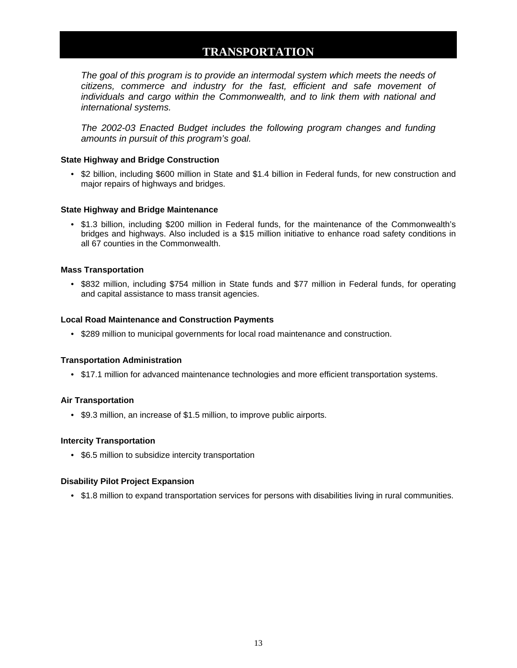### **TRANSPORTATION**

<span id="page-14-0"></span>*The goal of this program is to provide an intermodal system which meets the needs of citizens, commerce and industry for the fast, efficient and safe movement of individuals and cargo within the Commonwealth, and to link them with national and international systems.*

*The 2002-03 Enacted Budget includes the following program changes and funding amounts in pursuit of this program's goal.*

#### **State Highway and Bridge Construction**

• \$2 billion, including \$600 million in State and \$1.4 billion in Federal funds, for new construction and major repairs of highways and bridges.

#### **State Highway and Bridge Maintenance**

• \$1.3 billion, including \$200 million in Federal funds, for the maintenance of the Commonwealth's bridges and highways. Also included is a \$15 million initiative to enhance road safety conditions in all 67 counties in the Commonwealth.

#### **Mass Transportation**

• \$832 million, including \$754 million in State funds and \$77 million in Federal funds, for operating and capital assistance to mass transit agencies.

#### **Local Road Maintenance and Construction Payments**

• \$289 million to municipal governments for local road maintenance and construction.

#### **Transportation Administration**

• \$17.1 million for advanced maintenance technologies and more efficient transportation systems.

#### **Air Transportation**

• \$9.3 million, an increase of \$1.5 million, to improve public airports.

#### **Intercity Transportation**

• \$6.5 million to subsidize intercity transportation

#### **Disability Pilot Project Expansion**

• \$1.8 million to expand transportation services for persons with disabilities living in rural communities.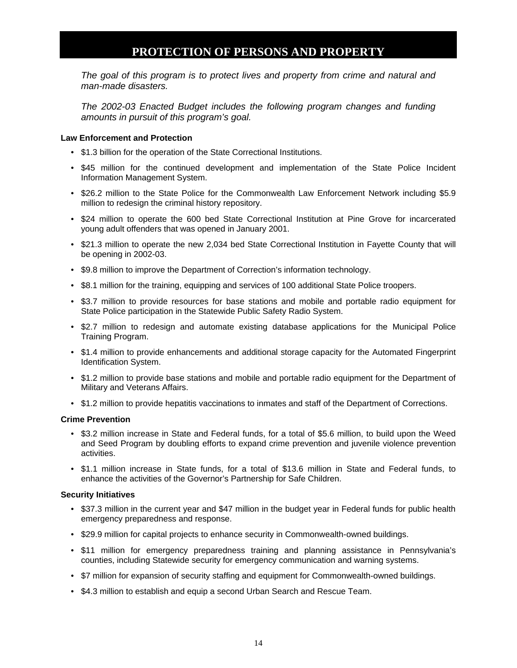### **PROTECTION OF PERSONS AND PROPERTY**

<span id="page-15-0"></span>*The goal of this program is to protect lives and property from crime and natural and man-made disasters.*

*The 2002-03 Enacted Budget includes the following program changes and funding amounts in pursuit of this program's goal.*

#### **Law Enforcement and Protection**

- \$1.3 billion for the operation of the State Correctional Institutions.
- \$45 million for the continued development and implementation of the State Police Incident Information Management System.
- \$26.2 million to the State Police for the Commonwealth Law Enforcement Network including \$5.9 million to redesign the criminal history repository.
- \$24 million to operate the 600 bed State Correctional Institution at Pine Grove for incarcerated young adult offenders that was opened in January 2001.
- \$21.3 million to operate the new 2,034 bed State Correctional Institution in Fayette County that will be opening in 2002-03.
- \$9.8 million to improve the Department of Correction's information technology.
- \$8.1 million for the training, equipping and services of 100 additional State Police troopers.
- \$3.7 million to provide resources for base stations and mobile and portable radio equipment for State Police participation in the Statewide Public Safety Radio System.
- \$2.7 million to redesign and automate existing database applications for the Municipal Police Training Program.
- \$1.4 million to provide enhancements and additional storage capacity for the Automated Fingerprint Identification System.
- \$1.2 million to provide base stations and mobile and portable radio equipment for the Department of Military and Veterans Affairs.
- \$1.2 million to provide hepatitis vaccinations to inmates and staff of the Department of Corrections.

#### **Crime Prevention**

- \$3.2 million increase in State and Federal funds, for a total of \$5.6 million, to build upon the Weed and Seed Program by doubling efforts to expand crime prevention and juvenile violence prevention activities.
- \$1.1 million increase in State funds, for a total of \$13.6 million in State and Federal funds, to enhance the activities of the Governor's Partnership for Safe Children.

#### **Security Initiatives**

- \$37.3 million in the current year and \$47 million in the budget year in Federal funds for public health emergency preparedness and response.
- \$29.9 million for capital projects to enhance security in Commonwealth-owned buildings.
- \$11 million for emergency preparedness training and planning assistance in Pennsylvania's counties, including Statewide security for emergency communication and warning systems.
- \$7 million for expansion of security staffing and equipment for Commonwealth-owned buildings.
- \$4.3 million to establish and equip a second Urban Search and Rescue Team.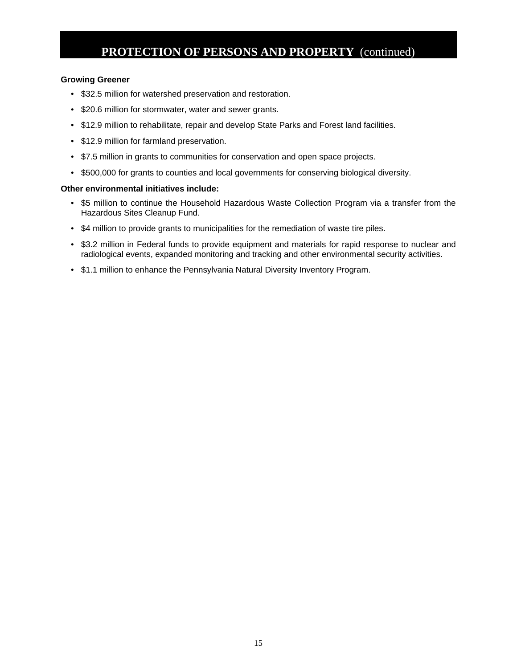### **PROTECTION OF PERSONS AND PROPERTY** (continued)

#### **Growing Greener**

- \$32.5 million for watershed preservation and restoration.
- \$20.6 million for stormwater, water and sewer grants.
- \$12.9 million to rehabilitate, repair and develop State Parks and Forest land facilities.
- \$12.9 million for farmland preservation.
- \$7.5 million in grants to communities for conservation and open space projects.
- \$500,000 for grants to counties and local governments for conserving biological diversity.

#### **Other environmental initiatives include:**

- \$5 million to continue the Household Hazardous Waste Collection Program via a transfer from the Hazardous Sites Cleanup Fund.
- \$4 million to provide grants to municipalities for the remediation of waste tire piles.
- \$3.2 million in Federal funds to provide equipment and materials for rapid response to nuclear and radiological events, expanded monitoring and tracking and other environmental security activities.
- \$1.1 million to enhance the Pennsylvania Natural Diversity Inventory Program.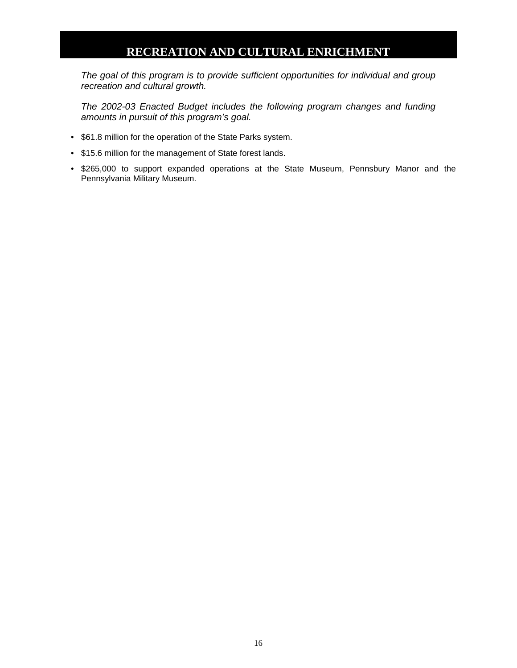### **RECREATION AND CULTURAL ENRICHMENT**

<span id="page-17-0"></span>*The goal of this program is to provide sufficient opportunities for individual and group recreation and cultural growth.*

*The 2002-03 Enacted Budget includes the following program changes and funding amounts in pursuit of this program's goal.*

- \$61.8 million for the operation of the State Parks system.
- \$15.6 million for the management of State forest lands.
- \$265,000 to support expanded operations at the State Museum, Pennsbury Manor and the Pennsylvania Military Museum.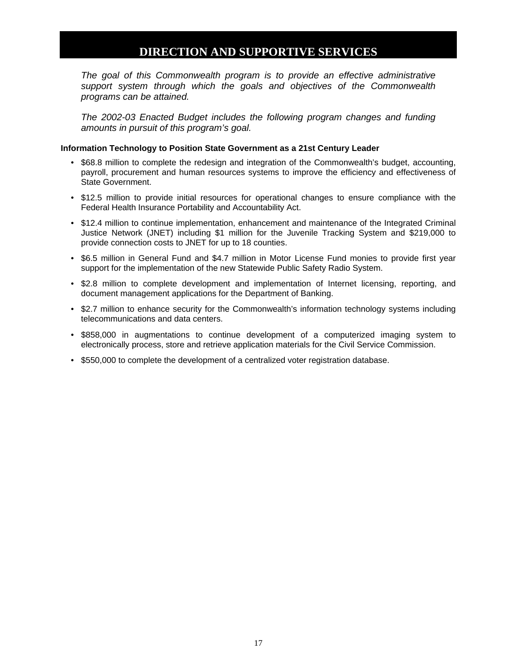### **DIRECTION AND SUPPORTIVE SERVICES**

<span id="page-18-0"></span>*The goal of this Commonwealth program is to provide an effective administrative support system through which the goals and objectives of the Commonwealth programs can be attained.*

*The 2002-03 Enacted Budget includes the following program changes and funding amounts in pursuit of this program's goal.* 

#### **Information Technology to Position State Government as a 21st Century Leader**

- \$68.8 million to complete the redesign and integration of the Commonwealth's budget, accounting, payroll, procurement and human resources systems to improve the efficiency and effectiveness of State Government.
- \$12.5 million to provide initial resources for operational changes to ensure compliance with the Federal Health Insurance Portability and Accountability Act.
- \$12.4 million to continue implementation, enhancement and maintenance of the Integrated Criminal Justice Network (JNET) including \$1 million for the Juvenile Tracking System and \$219,000 to provide connection costs to JNET for up to 18 counties.
- \$6.5 million in General Fund and \$4.7 million in Motor License Fund monies to provide first year support for the implementation of the new Statewide Public Safety Radio System.
- \$2.8 million to complete development and implementation of Internet licensing, reporting, and document management applications for the Department of Banking.
- \$2.7 million to enhance security for the Commonwealth's information technology systems including telecommunications and data centers.
- \$858,000 in augmentations to continue development of a computerized imaging system to electronically process, store and retrieve application materials for the Civil Service Commission.
- \$550,000 to complete the development of a centralized voter registration database.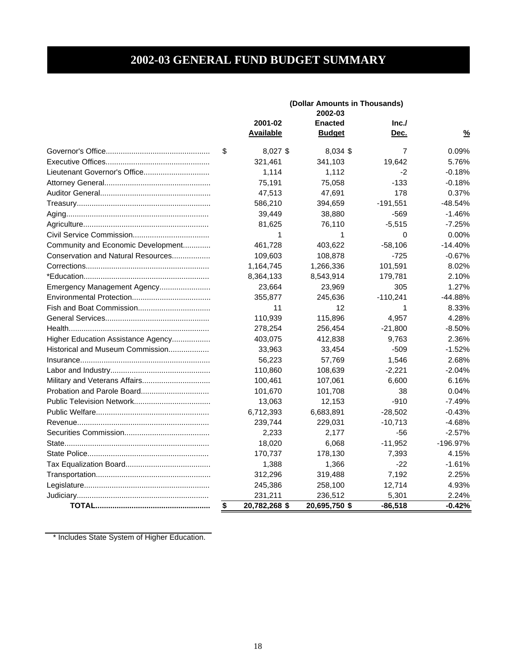### **2002-03 GENERAL FUND BUDGET SUMMARY**

<span id="page-19-0"></span>

|                                    | (Dollar Amounts in Thousands)<br>2002-03 |                  |                |            |               |
|------------------------------------|------------------------------------------|------------------|----------------|------------|---------------|
|                                    |                                          | 2001-02          | <b>Enacted</b> | Inc.       |               |
|                                    |                                          | <b>Available</b> | <b>Budget</b>  | Dec.       | $\frac{9}{6}$ |
|                                    | \$                                       | 8,027 \$         | 8,034 \$       | 7          | 0.09%         |
|                                    |                                          | 321,461          | 341,103        | 19,642     | 5.76%         |
|                                    |                                          | 1,114            | 1,112          | $-2$       | $-0.18%$      |
|                                    |                                          | 75,191           | 75,058         | $-133$     | $-0.18%$      |
|                                    |                                          | 47,513           | 47,691         | 178        | 0.37%         |
|                                    |                                          | 586,210          | 394,659        | $-191,551$ | $-48.54%$     |
|                                    |                                          | 39,449           | 38,880         | $-569$     | $-1.46%$      |
|                                    |                                          | 81,625           | 76,110         | $-5,515$   | $-7.25%$      |
|                                    |                                          | 1                | 1              | 0          | 0.00%         |
| Community and Economic Development |                                          | 461,728          | 403,622        | $-58,106$  | $-14.40%$     |
| Conservation and Natural Resources |                                          | 109,603          | 108,878        | $-725$     | $-0.67%$      |
|                                    |                                          | 1,164,745        | 1,266,336      | 101,591    | 8.02%         |
|                                    |                                          | 8,364,133        | 8,543,914      | 179,781    | 2.10%         |
| Emergency Management Agency        |                                          | 23,664           | 23,969         | 305        | 1.27%         |
|                                    |                                          | 355,877          | 245,636        | $-110,241$ | -44.88%       |
|                                    |                                          | 11               | 12             | 1          | 8.33%         |
|                                    |                                          | 110,939          | 115,896        | 4,957      | 4.28%         |
|                                    |                                          | 278,254          | 256,454        | $-21,800$  | $-8.50%$      |
| Higher Education Assistance Agency |                                          | 403,075          | 412,838        | 9,763      | 2.36%         |
| Historical and Museum Commission   |                                          | 33,963           | 33,454         | $-509$     | $-1.52%$      |
|                                    |                                          | 56,223           | 57,769         | 1,546      | 2.68%         |
|                                    |                                          | 110,860          | 108,639        | $-2,221$   | $-2.04%$      |
|                                    |                                          | 100,461          | 107,061        | 6,600      | 6.16%         |
| Probation and Parole Board         |                                          | 101,670          | 101,708        | 38         | 0.04%         |
|                                    |                                          | 13,063           | 12,153         | $-910$     | $-7.49%$      |
|                                    |                                          | 6,712,393        | 6,683,891      | $-28,502$  | $-0.43%$      |
|                                    |                                          | 239,744          | 229,031        | $-10,713$  | $-4.68%$      |
|                                    |                                          | 2,233            | 2,177          | -56        | $-2.57%$      |
|                                    |                                          | 18,020           | 6,068          | $-11,952$  | $-196.97%$    |
|                                    |                                          | 170,737          | 178,130        | 7,393      | 4.15%         |
|                                    |                                          | 1,388            | 1,366          | $-22$      | $-1.61%$      |
|                                    |                                          | 312,296          | 319,488        | 7,192      | 2.25%         |
|                                    |                                          | 245,386          | 258,100        | 12,714     | 4.93%         |
|                                    |                                          | 231,211          | 236,512        | 5,301      | 2.24%         |
|                                    | \$                                       | 20,782,268 \$    | 20,695,750 \$  | $-86,518$  | $-0.42%$      |

\* Includes State System of Higher Education.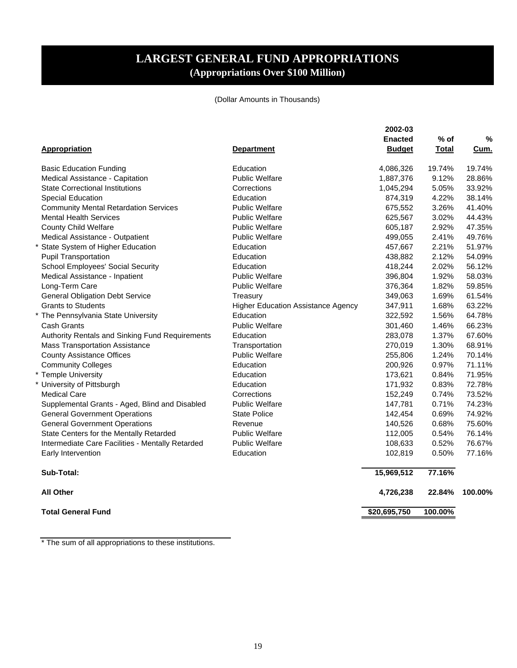### **LARGEST GENERAL FUND APPROPRIATIONS (Appropriations Over \$100 Million)**

#### (Dollar Amounts in Thousands)

<span id="page-20-0"></span>

| <b>Appropriation</b>                             | <b>Department</b>                         | 2002-03<br><b>Enacted</b><br><b>Budget</b> | $%$ of<br>Total | %<br>Cum. |
|--------------------------------------------------|-------------------------------------------|--------------------------------------------|-----------------|-----------|
| <b>Basic Education Funding</b>                   | Education                                 | 4,086,326                                  | 19.74%          | 19.74%    |
| Medical Assistance - Capitation                  | <b>Public Welfare</b>                     | 1,887,376                                  | 9.12%           | 28.86%    |
| <b>State Correctional Institutions</b>           | Corrections                               | 1,045,294                                  | 5.05%           | 33.92%    |
| <b>Special Education</b>                         | Education                                 | 874,319                                    | 4.22%           | 38.14%    |
| <b>Community Mental Retardation Services</b>     | <b>Public Welfare</b>                     | 675,552                                    | 3.26%           | 41.40%    |
| <b>Mental Health Services</b>                    | <b>Public Welfare</b>                     | 625,567                                    | 3.02%           | 44.43%    |
| <b>County Child Welfare</b>                      | <b>Public Welfare</b>                     | 605,187                                    | 2.92%           | 47.35%    |
| Medical Assistance - Outpatient                  | <b>Public Welfare</b>                     | 499,055                                    | 2.41%           | 49.76%    |
| State System of Higher Education                 | Education                                 | 457,667                                    | 2.21%           | 51.97%    |
| <b>Pupil Transportation</b>                      | Education                                 | 438,882                                    | 2.12%           | 54.09%    |
| School Employees' Social Security                | Education                                 | 418,244                                    | 2.02%           | 56.12%    |
| Medical Assistance - Inpatient                   | <b>Public Welfare</b>                     | 396,804                                    | 1.92%           | 58.03%    |
| Long-Term Care                                   | <b>Public Welfare</b>                     | 376,364                                    | 1.82%           | 59.85%    |
| <b>General Obligation Debt Service</b>           | Treasury                                  | 349,063                                    | 1.69%           | 61.54%    |
| <b>Grants to Students</b>                        | <b>Higher Education Assistance Agency</b> | 347,911                                    | 1.68%           | 63.22%    |
| The Pennsylvania State University                | Education                                 | 322,592                                    | 1.56%           | 64.78%    |
| Cash Grants                                      | <b>Public Welfare</b>                     | 301,460                                    | 1.46%           | 66.23%    |
| Authority Rentals and Sinking Fund Requirements  | Education                                 | 283,078                                    | 1.37%           | 67.60%    |
| <b>Mass Transportation Assistance</b>            | Transportation                            | 270,019                                    | 1.30%           | 68.91%    |
| <b>County Assistance Offices</b>                 | <b>Public Welfare</b>                     | 255,806                                    | 1.24%           | 70.14%    |
| <b>Community Colleges</b>                        | Education                                 | 200,926                                    | 0.97%           | 71.11%    |
| * Temple University                              | Education                                 | 173,621                                    | 0.84%           | 71.95%    |
| * University of Pittsburgh                       | Education                                 | 171,932                                    | 0.83%           | 72.78%    |
| <b>Medical Care</b>                              | Corrections                               | 152,249                                    | 0.74%           | 73.52%    |
| Supplemental Grants - Aged, Blind and Disabled   | <b>Public Welfare</b>                     | 147,781                                    | 0.71%           | 74.23%    |
| <b>General Government Operations</b>             | <b>State Police</b>                       | 142,454                                    | 0.69%           | 74.92%    |
| <b>General Government Operations</b>             | Revenue                                   | 140,526                                    | 0.68%           | 75.60%    |
| State Centers for the Mentally Retarded          | <b>Public Welfare</b>                     | 112,005                                    | 0.54%           | 76.14%    |
| Intermediate Care Facilities - Mentally Retarded | <b>Public Welfare</b>                     | 108,633                                    | 0.52%           | 76.67%    |
| Early Intervention                               | Education                                 | 102,819                                    | 0.50%           | 77.16%    |
| Sub-Total:                                       |                                           | 15,969,512                                 | 77.16%          |           |
| <b>All Other</b>                                 |                                           | 4,726,238                                  | 22.84%          | 100.00%   |
| <b>Total General Fund</b>                        |                                           | \$20,695,750                               | 100.00%         |           |

\* The sum of all appropriations to these institutions.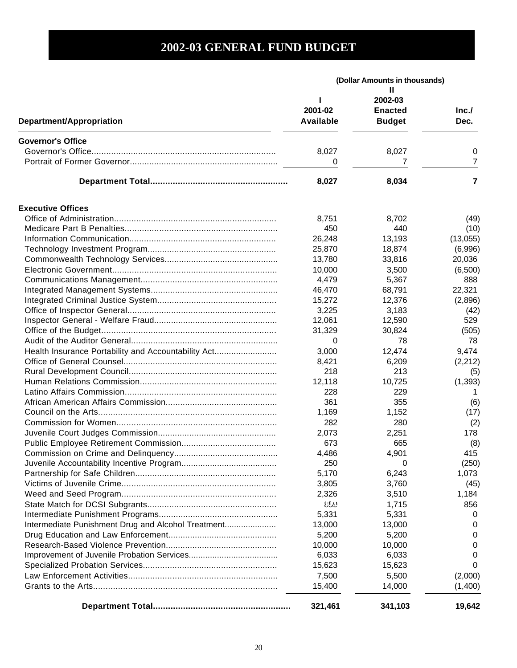<span id="page-21-0"></span>

|                                                     | (Dollar Amounts in thousands) |                                                 |                |
|-----------------------------------------------------|-------------------------------|-------------------------------------------------|----------------|
| Department/Appropriation                            | L<br>2001-02<br>Available     | н<br>2002-03<br><b>Enacted</b><br><b>Budget</b> | Inc.<br>Dec.   |
| <b>Governor's Office</b>                            |                               |                                                 |                |
|                                                     | 8,027                         | 8,027                                           | 0              |
|                                                     | 0                             | 7                                               | 7              |
|                                                     | 8,027                         | 8,034                                           | $\overline{7}$ |
| <b>Executive Offices</b>                            |                               |                                                 |                |
|                                                     | 8,751                         | 8,702                                           | (49)           |
|                                                     | 450                           | 440                                             | (10)           |
|                                                     | 26,248                        | 13,193                                          | (13,055)       |
|                                                     | 25,870                        | 18,874                                          | (6,996)        |
|                                                     | 13,780                        | 33,816                                          | 20,036         |
|                                                     | 10,000                        | 3,500                                           | (6,500)        |
|                                                     | 4,479                         | 5,367                                           | 888            |
|                                                     | 46,470                        | 68,791                                          | 22,321         |
|                                                     | 15,272                        | 12,376                                          | (2,896)        |
|                                                     | 3,225                         | 3,183                                           | (42)           |
|                                                     | 12,061                        | 12,590                                          | 529            |
|                                                     | 31,329                        | 30,824                                          | (505)          |
|                                                     | 0                             | 78                                              | 78             |
| Health Insurance Portability and Accountability Act | 3,000                         | 12,474                                          | 9,474          |
|                                                     | 8,421                         | 6,209                                           | (2,212)        |
|                                                     | 218                           | 213                                             | (5)            |
|                                                     | 12,118                        | 10,725                                          | (1, 393)       |
|                                                     | 228                           | 229                                             | 1              |
|                                                     | 361                           | 355                                             | (6)            |
|                                                     | 1,169                         | 1,152                                           | (17)           |
|                                                     | 282                           | 280                                             | (2)            |
|                                                     | 2,073                         | 2,251                                           | 178            |
|                                                     | 673                           | 665                                             | (8)            |
|                                                     | 4,486                         | 4,901                                           | 415            |
|                                                     | 250                           | 0                                               | (250)          |
|                                                     | 5,170                         | 6,243                                           | 1,073          |
|                                                     | 3,805                         | 3,760                                           | (45)           |
|                                                     | 2,326                         | 3,510                                           | 1,184          |
|                                                     | 859                           | 1,715                                           | 856            |
|                                                     | 5,331                         | 5,331                                           | 0              |
| Intermediate Punishment Drug and Alcohol Treatment  | 13,000                        | 13,000                                          | 0              |
|                                                     | 5,200                         | 5,200                                           | 0              |
|                                                     | 10,000                        | 10,000                                          | 0              |
|                                                     | 6,033                         | 6,033                                           | 0              |
|                                                     | 15,623                        | 15,623                                          | 0              |
|                                                     | 7,500                         | 5,500                                           | (2,000)        |
|                                                     | 15,400                        | 14,000                                          | (1,400)        |
|                                                     | 321,461                       | 341,103                                         | 19,642         |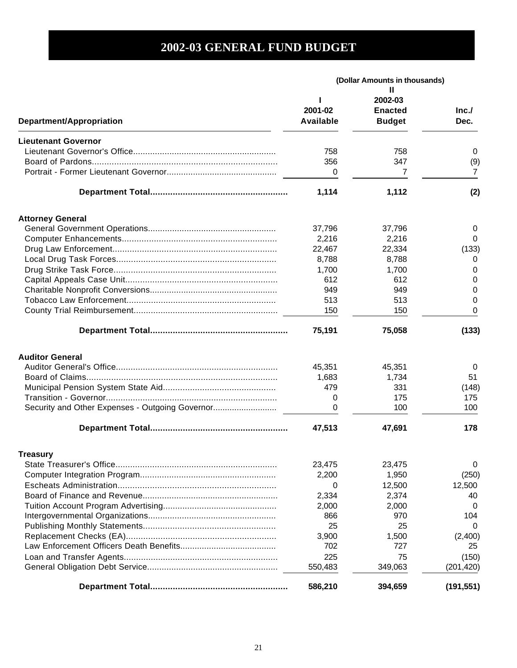|                                                 | (Dollar Amounts in thousands) |                                            |              |
|-------------------------------------------------|-------------------------------|--------------------------------------------|--------------|
| Department/Appropriation                        | 2001-02<br><b>Available</b>   | 2002-03<br><b>Enacted</b><br><b>Budget</b> | Inc.<br>Dec. |
|                                                 |                               |                                            |              |
| <b>Lieutenant Governor</b>                      | 758                           | 758                                        |              |
|                                                 | 356                           | 347                                        | 0            |
|                                                 | 0                             | 7                                          | (9)<br>7     |
|                                                 |                               |                                            |              |
|                                                 | 1,114                         | 1,112                                      | (2)          |
| <b>Attorney General</b>                         |                               |                                            |              |
|                                                 | 37,796                        | 37,796                                     | 0            |
|                                                 | 2,216                         | 2,216                                      | 0            |
|                                                 | 22,467                        | 22,334                                     | (133)        |
|                                                 | 8,788                         | 8,788                                      | 0            |
|                                                 | 1,700                         | 1,700                                      | 0            |
|                                                 | 612                           | 612                                        | 0            |
|                                                 | 949                           | 949                                        | 0            |
|                                                 | 513                           | 513                                        | 0            |
|                                                 | 150                           | 150                                        | 0            |
|                                                 | 75,191                        | 75,058                                     | (133)        |
| <b>Auditor General</b>                          |                               |                                            |              |
|                                                 | 45,351                        | 45,351                                     | $\Omega$     |
|                                                 | 1,683                         | 1,734                                      | 51           |
|                                                 | 479                           | 331                                        | (148)        |
|                                                 | 0                             | 175                                        | 175          |
| Security and Other Expenses - Outgoing Governor | 0                             | 100                                        | 100          |
|                                                 | 47,513                        | 47,691                                     | 178          |
| <b>Treasury</b>                                 |                               |                                            |              |
|                                                 | 23,475                        | 23,475                                     | 0            |
|                                                 | 2,200                         | 1,950                                      | (250)        |
|                                                 | 0                             | 12,500                                     | 12,500       |
|                                                 | 2,334                         | 2,374                                      | 40           |
|                                                 | 2,000                         | 2,000                                      | 0            |
|                                                 | 866                           | 970                                        | 104          |
|                                                 | 25                            | 25                                         | 0            |
|                                                 | 3,900                         | 1,500                                      | (2,400)      |
|                                                 | 702                           | 727                                        | 25           |
|                                                 | 225                           | 75                                         | (150)        |
|                                                 | 550,483                       | 349,063                                    | (201, 420)   |
|                                                 | 586,210                       | 394,659                                    | (191, 551)   |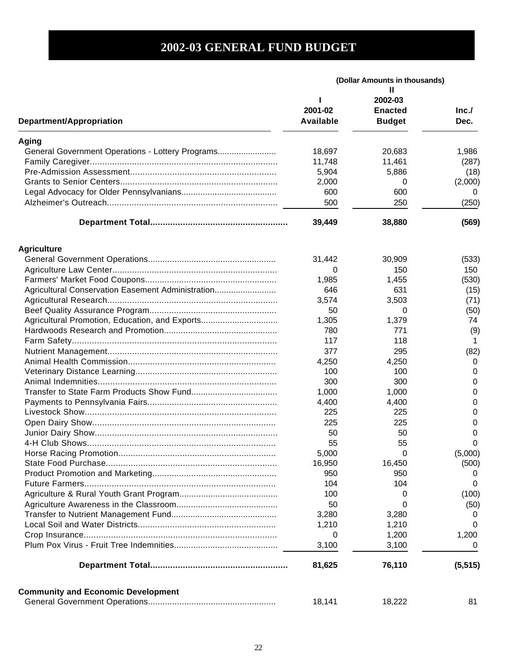|                                                   | (Dollar Amounts in thousands) |                |          |
|---------------------------------------------------|-------------------------------|----------------|----------|
|                                                   |                               | н              |          |
|                                                   |                               | 2002-03        |          |
|                                                   | 2001-02                       | <b>Enacted</b> | Inc.     |
| <b>Department/Appropriation</b>                   | Available                     | <b>Budget</b>  | Dec.     |
| Aging                                             |                               |                |          |
| General Government Operations - Lottery Programs  | 18,697                        | 20,683         | 1,986    |
|                                                   | 11,748                        | 11,461         | (287)    |
|                                                   | 5,904                         | 5,886          | (18)     |
|                                                   | 2,000                         | 0              | (2,000)  |
|                                                   | 600                           | 600            | 0        |
|                                                   | 500                           | 250            | (250)    |
|                                                   | 39,449                        | 38,880         | (569)    |
| <b>Agriculture</b>                                |                               |                |          |
|                                                   | 31,442                        | 30,909         | (533)    |
|                                                   | 0                             | 150            | 150      |
|                                                   | 1,985                         | 1,455          | (530)    |
| Agricultural Conservation Easement Administration | 646                           | 631            | (15)     |
|                                                   | 3,574                         | 3,503          | (71)     |
|                                                   | 50                            | 0              | (50)     |
| Agricultural Promotion, Education, and Exports    | 1,305                         | 1,379          | 74       |
|                                                   | 780                           | 771            | (9)      |
|                                                   | 117                           | 118            |          |
|                                                   | 377                           | 295            | (82)     |
|                                                   | 4,250                         | 4,250          | 0        |
|                                                   | 100                           | 100            | 0        |
|                                                   | 300                           | 300            | 0        |
|                                                   | 1,000                         | 1,000          | 0        |
|                                                   | 4,400                         | 4,400          | 0        |
|                                                   | 225                           | 225            | 0        |
|                                                   | 225                           | 225            | 0        |
|                                                   | 50                            | 50             | 0        |
|                                                   | 55                            | 55             | 0        |
| Horse Racing Promotion                            | 5,000                         | $\Omega$       | (5,000)  |
|                                                   | 16,950                        | 16,450         | (500)    |
|                                                   | 950                           | 950            | 0        |
|                                                   | 104                           | 104            | 0        |
|                                                   | 100                           | 0              | (100)    |
|                                                   | 50                            | 0              | (50)     |
|                                                   | 3,280                         | 3,280          | 0        |
|                                                   | 1,210                         | 1,210          | 0        |
|                                                   | 0                             | 1,200          | 1,200    |
|                                                   | 3,100                         | 3,100          | 0        |
|                                                   | 81,625                        | 76,110         | (5, 515) |
| <b>Community and Economic Development</b>         |                               |                |          |
|                                                   | 18,141                        | 18,222         | 81       |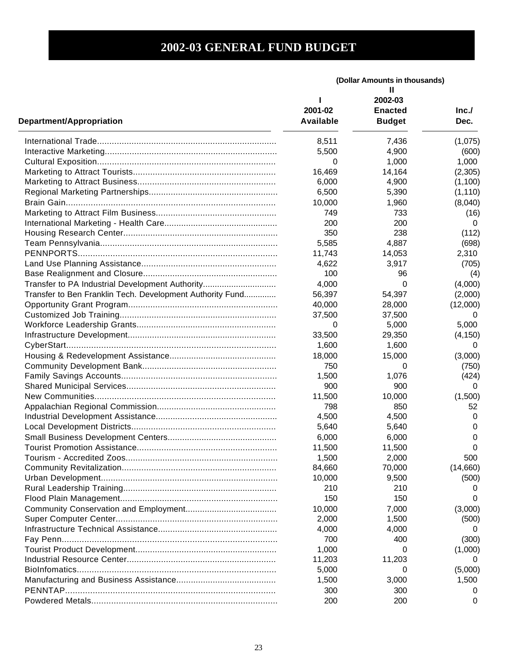|                                                           | (Dollar Amounts in thousands) |                |          |
|-----------------------------------------------------------|-------------------------------|----------------|----------|
|                                                           |                               | н              |          |
|                                                           |                               | 2002-03        |          |
|                                                           | 2001-02                       | <b>Enacted</b> | Inc.     |
| Department/Appropriation                                  | Available                     | <b>Budget</b>  | Dec.     |
|                                                           | 8,511                         | 7,436          | (1,075)  |
|                                                           | 5,500                         | 4,900          | (600)    |
|                                                           | 0                             | 1,000          | 1,000    |
|                                                           | 16,469                        | 14,164         | (2,305)  |
|                                                           | 6,000                         | 4,900          | (1,100)  |
|                                                           | 6,500                         | 5,390          | (1, 110) |
|                                                           | 10,000                        | 1,960          | (8,040)  |
|                                                           | 749                           | 733            | (16)     |
|                                                           | 200                           | 200            | 0        |
|                                                           | 350                           | 238            | (112)    |
|                                                           | 5,585                         | 4,887          | (698)    |
|                                                           | 11,743                        | 14,053         | 2,310    |
|                                                           | 4,622                         | 3,917          | (705)    |
|                                                           | 100                           | 96             |          |
|                                                           |                               |                | (4)      |
| Transfer to PA Industrial Development Authority           | 4,000                         | 0              | (4,000)  |
| Transfer to Ben Franklin Tech. Development Authority Fund | 56,397                        | 54,397         | (2,000)  |
|                                                           | 40,000                        | 28,000         | (12,000) |
|                                                           | 37,500                        | 37,500         | $\Omega$ |
|                                                           | 0                             | 5,000          | 5,000    |
|                                                           | 33,500                        | 29,350         | (4, 150) |
|                                                           | 1,600                         | 1,600          | 0        |
|                                                           | 18,000                        | 15,000         | (3,000)  |
|                                                           | 750                           | 0              | (750)    |
|                                                           | 1,500                         | 1,076          | (424)    |
|                                                           | 900                           | 900            | 0        |
|                                                           | 11,500                        | 10,000         | (1,500)  |
|                                                           | 798                           | 850            | 52       |
|                                                           | 4,500                         | 4,500          | 0        |
|                                                           | 5,640                         | 5,640          | 0        |
|                                                           | 6,000                         | 6,000          | 0        |
|                                                           | 11,500                        | 11,500         | 0        |
|                                                           | 1,500                         | 2,000          | 500      |
|                                                           | 84,660                        | 70,000         | (14,660) |
|                                                           | 10,000                        | 9,500          | (500)    |
|                                                           | 210                           | 210            |          |
|                                                           | 150                           | 150            | $\Omega$ |
|                                                           | 10,000                        | 7,000          | (3,000)  |
|                                                           | 2,000                         | 1,500          | (500)    |
|                                                           | 4,000                         | 4,000          | $\Omega$ |
|                                                           | 700                           | 400            | (300)    |
|                                                           | 1,000                         | 0              | (1,000)  |
|                                                           | 11,203                        | 11,203         | $\Omega$ |
|                                                           | 5,000                         | 0              | (5,000)  |
|                                                           | 1,500                         | 3,000          | 1,500    |
|                                                           |                               |                |          |
|                                                           | 300                           | 300            | 0        |
|                                                           | 200                           | 200            | 0        |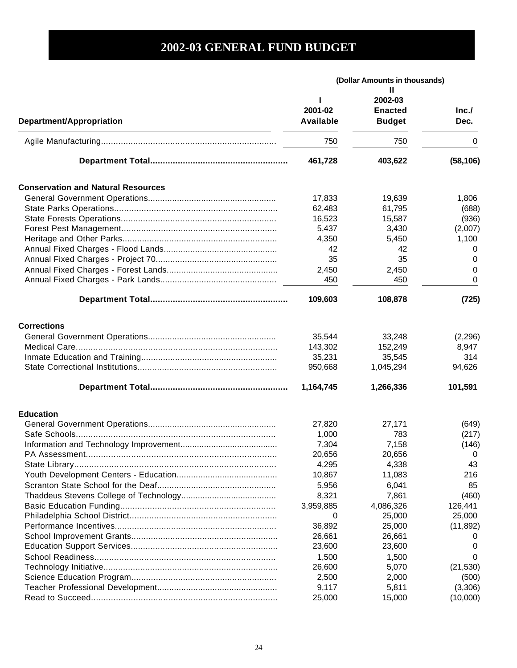|                                           | (Dollar Amounts in thousands) |                                                 |              |
|-------------------------------------------|-------------------------------|-------------------------------------------------|--------------|
| Department/Appropriation                  | 2001-02<br><b>Available</b>   | Ш<br>2002-03<br><b>Enacted</b><br><b>Budget</b> | Inc.<br>Dec. |
|                                           | 750                           | 750                                             | 0            |
|                                           | 461,728                       | 403,622                                         | (58, 106)    |
| <b>Conservation and Natural Resources</b> |                               |                                                 |              |
|                                           | 17,833                        | 19,639                                          | 1,806        |
|                                           | 62,483                        | 61,795                                          | (688)        |
|                                           | 16,523                        | 15,587                                          | (936)        |
|                                           | 5,437                         | 3,430                                           | (2,007)      |
|                                           | 4,350                         | 5,450                                           | 1,100        |
|                                           | 42                            | 42                                              | 0            |
|                                           | 35                            | 35                                              | 0            |
|                                           | 2,450                         | 2,450                                           | 0            |
|                                           | 450                           | 450                                             | 0            |
|                                           | 109,603                       | 108,878                                         | (725)        |
| <b>Corrections</b>                        |                               |                                                 |              |
|                                           | 35,544                        | 33,248                                          | (2, 296)     |
|                                           | 143,302                       | 152,249                                         | 8,947        |
|                                           | 35,231                        | 35,545                                          | 314          |
|                                           | 950,668                       | 1,045,294                                       | 94,626       |
|                                           | 1,164,745                     | 1,266,336                                       | 101,591      |
| <b>Education</b>                          |                               |                                                 |              |
|                                           | 27,820                        | 27,171                                          | (649)        |
|                                           | 1,000                         | 783                                             | (217)        |
|                                           | 7,304                         | 7,158                                           | (146)        |
|                                           | 20,656                        | 20,656                                          | 0            |
|                                           | 4,295                         | 4,338                                           | 43           |
|                                           | 10,867                        | 11,083                                          | 216          |
|                                           | 5,956                         | 6,041                                           | 85           |
|                                           | 8,321                         | 7,861                                           | (460)        |
|                                           | 3,959,885                     | 4,086,326                                       | 126,441      |
|                                           | 0                             | 25,000                                          | 25,000       |
|                                           | 36,892                        | 25,000                                          | (11, 892)    |
|                                           | 26,661                        | 26,661                                          | $\Omega$     |
|                                           | 23,600                        | 23,600                                          | O            |
|                                           | 1,500                         | 1,500                                           | 0            |
|                                           | 26,600                        | 5,070                                           | (21, 530)    |
|                                           | 2,500                         | 2,000                                           | (500)        |
|                                           | 9,117                         | 5,811                                           | (3,306)      |
|                                           | 25,000                        | 15,000                                          | (10,000)     |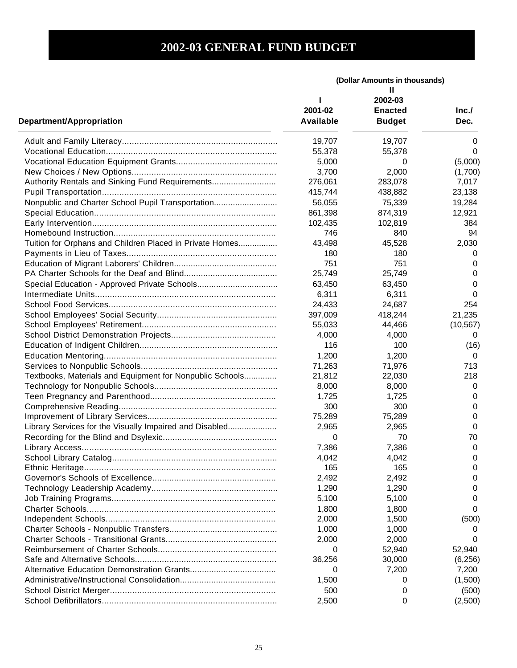|                                                          | (Dollar Amounts in thousands) |                |           |
|----------------------------------------------------------|-------------------------------|----------------|-----------|
|                                                          |                               | Ш              |           |
|                                                          |                               | 2002-03        |           |
|                                                          | 2001-02                       | <b>Enacted</b> | Inc.      |
| <b>Department/Appropriation</b>                          | Available                     | <b>Budget</b>  | Dec.      |
|                                                          | 19,707                        | 19,707         | 0         |
|                                                          | 55,378                        | 55,378         | $\Omega$  |
|                                                          | 5,000                         | 0              | (5,000)   |
|                                                          | 3,700                         | 2,000          | (1,700)   |
| Authority Rentals and Sinking Fund Requirements          | 276,061                       | 283,078        | 7,017     |
|                                                          | 415,744                       | 438,882        | 23,138    |
| Nonpublic and Charter School Pupil Transportation        | 56,055                        | 75,339         | 19,284    |
|                                                          | 861,398                       | 874,319        | 12,921    |
|                                                          | 102,435                       | 102,819        | 384       |
|                                                          | 746                           | 840            | 94        |
| Tuition for Orphans and Children Placed in Private Homes | 43,498                        | 45,528         | 2,030     |
|                                                          | 180                           | 180            | $\Omega$  |
|                                                          | 751                           | 751            | 0         |
|                                                          | 25,749                        | 25,749         | 0         |
|                                                          | 63,450                        | 63,450         | 0         |
|                                                          | 6,311                         | 6,311          | 0         |
|                                                          | 24,433                        | 24,687         | 254       |
|                                                          | 397,009                       | 418,244        | 21,235    |
|                                                          | 55,033                        | 44,466         | (10, 567) |
|                                                          | 4,000                         | 4,000          | 0         |
|                                                          | 116                           | 100            |           |
|                                                          |                               |                | (16)      |
|                                                          | 1,200                         | 1,200          | 0         |
|                                                          | 71,263                        | 71,976         | 713       |
| Textbooks, Materials and Equipment for Nonpublic Schools | 21,812                        | 22,030         | 218       |
|                                                          | 8,000                         | 8,000          | 0         |
|                                                          | 1,725                         | 1,725          | 0         |
|                                                          | 300                           | 300            | 0         |
|                                                          | 75,289                        | 75,289         | 0         |
| Library Services for the Visually Impaired and Disabled  | 2,965                         | 2,965          | 0         |
|                                                          | 0                             | 70             | 70        |
|                                                          | 7,386                         | 7,386          | 0         |
|                                                          | 4,042                         | 4,042          | 0         |
|                                                          | 165                           | 165            | 0         |
|                                                          | 2,492                         | 2,492          | 0         |
|                                                          | 1,290                         | 1,290          | 0         |
|                                                          | 5,100                         | 5,100          | 0         |
|                                                          | 1,800                         | 1,800          | 0         |
|                                                          | 2,000                         | 1,500          | (500)     |
|                                                          | 1,000                         | 1,000          |           |
|                                                          | 2,000                         | 2,000          | 0         |
|                                                          | 0                             | 52,940         | 52,940    |
|                                                          | 36,256                        | 30,000         | (6,256)   |
|                                                          | 0                             | 7,200          | 7,200     |
|                                                          | 1,500                         | 0              | (1,500)   |
|                                                          | 500                           | 0              | (500)     |
|                                                          | 2,500                         | 0              | (2,500)   |
|                                                          |                               |                |           |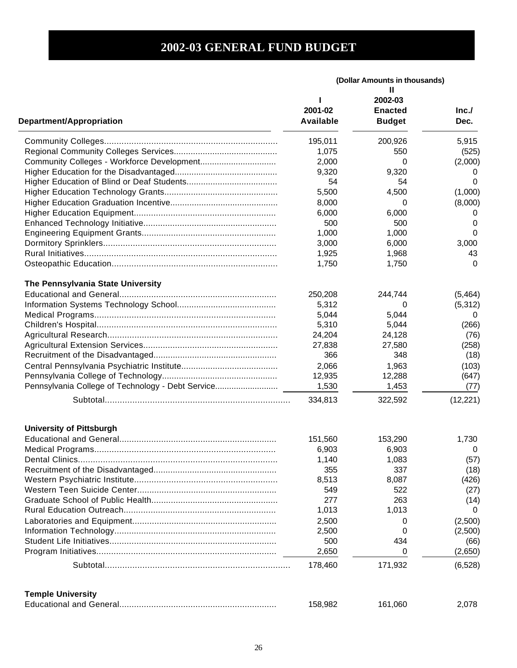|                                                   | (Dollar Amounts in thousands) |                                                 |              |
|---------------------------------------------------|-------------------------------|-------------------------------------------------|--------------|
| Department/Appropriation                          | 2001-02<br><b>Available</b>   | Ш<br>2002-03<br><b>Enacted</b><br><b>Budget</b> | Inc.<br>Dec. |
|                                                   | 195,011                       | 200,926                                         | 5,915        |
|                                                   | 1,075                         | 550                                             | (525)        |
| Community Colleges - Workforce Development        | 2,000                         | 0                                               | (2,000)      |
|                                                   | 9,320                         | 9,320                                           | O            |
|                                                   | 54                            | 54                                              | 0            |
|                                                   | 5,500                         | 4,500                                           | (1,000)      |
|                                                   | 8,000                         | 0                                               | (8,000)      |
|                                                   | 6,000                         | 6,000                                           | 0            |
|                                                   | 500                           | 500                                             | 0            |
|                                                   | 1,000                         | 1,000                                           | 0            |
|                                                   | 3,000                         | 6,000                                           | 3,000        |
|                                                   | 1,925                         | 1,968                                           | 43           |
|                                                   | 1,750                         | 1,750                                           | 0            |
|                                                   |                               |                                                 |              |
| The Pennsylvania State University                 |                               |                                                 |              |
|                                                   | 250,208                       | 244,744                                         | (5,464)      |
|                                                   | 5,312                         | 0                                               | (5, 312)     |
|                                                   | 5,044                         | 5,044                                           | 0            |
|                                                   | 5,310                         | 5,044                                           | (266)        |
|                                                   | 24,204                        | 24,128                                          | (76)         |
|                                                   | 27,838                        | 27,580                                          | (258)        |
|                                                   | 366                           | 348                                             | (18)         |
|                                                   | 2,066                         | 1,963                                           | (103)        |
|                                                   | 12,935                        | 12,288                                          | (647)        |
| Pennsylvania College of Technology - Debt Service | 1,530                         | 1,453                                           | (77)         |
|                                                   | 334,813                       | 322,592                                         | (12, 221)    |
| <b>University of Pittsburgh</b>                   |                               |                                                 |              |
|                                                   | 151,560                       | 153,290                                         | 1,730        |
|                                                   | 6,903                         | 6,903                                           | $\mathbf 0$  |
|                                                   | 1,140                         | 1,083                                           | (57)         |
|                                                   | 355                           | 337                                             | (18)         |
|                                                   | 8,513                         | 8,087                                           | (426)        |
|                                                   | 549                           | 522                                             | (27)         |
|                                                   | 277                           | 263                                             | (14)         |
|                                                   | 1,013                         | 1,013                                           | 0            |
|                                                   | 2,500                         | 0                                               | (2,500)      |
|                                                   | 2,500                         | 0                                               | (2,500)      |
|                                                   | 500                           | 434                                             | (66)         |
|                                                   | 2,650                         | 0                                               | (2,650)      |
|                                                   | 178,460                       | 171,932                                         | (6, 528)     |
|                                                   |                               |                                                 |              |
| <b>Temple University</b>                          |                               |                                                 |              |
|                                                   | 158,982                       | 161,060                                         | 2,078        |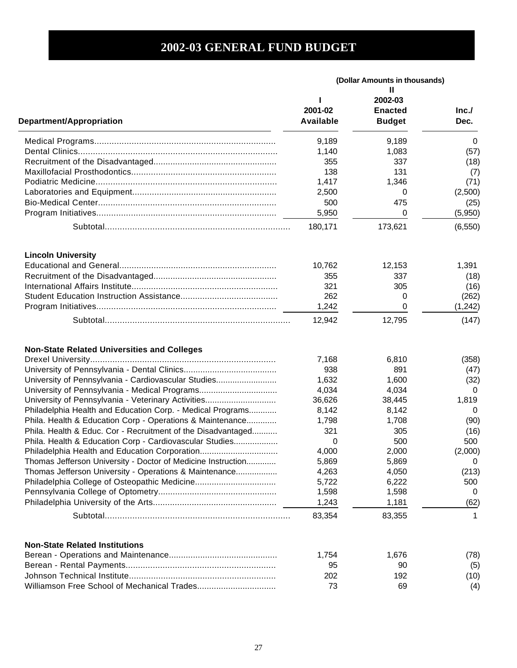|                                                              | (Dollar Amounts in thousands) |                |              |
|--------------------------------------------------------------|-------------------------------|----------------|--------------|
|                                                              |                               | н<br>2002-03   |              |
|                                                              | 2001-02                       | <b>Enacted</b> | Inc.         |
| Department/Appropriation                                     | Available                     | <b>Budget</b>  | Dec.         |
|                                                              | 9,189                         | 9,189          | 0            |
|                                                              | 1,140                         | 1,083          | (57)         |
|                                                              | 355                           | 337            | (18)         |
|                                                              | 138                           | 131            | (7)          |
|                                                              | 1,417                         | 1,346          | (71)         |
|                                                              | 2,500                         | 0              | (2,500)      |
|                                                              | 500                           | 475            | (25)         |
|                                                              | 5,950                         | 0              | (5,950)      |
|                                                              | 180,171                       | 173,621        | (6, 550)     |
|                                                              |                               |                |              |
| <b>Lincoln University</b>                                    | 10,762                        | 12,153         | 1,391        |
|                                                              | 355                           | 337            |              |
|                                                              | 321                           | 305            | (18)<br>(16) |
|                                                              | 262                           | 0              | (262)        |
|                                                              | 1,242                         | 0              | (1,242)      |
|                                                              | 12,942                        | 12,795         | (147)        |
| <b>Non-State Related Universities and Colleges</b>           |                               |                |              |
|                                                              | 7,168                         | 6,810          | (358)        |
|                                                              | 938                           | 891            | (47)         |
| University of Pennsylvania - Cardiovascular Studies          | 1,632                         | 1,600          | (32)         |
| University of Pennsylvania - Medical Programs                | 4,034                         | 4,034          | 0            |
| University of Pennsylvania - Veterinary Activities           | 36,626                        | 38,445         | 1,819        |
| Philadelphia Health and Education Corp. - Medical Programs   | 8,142                         | 8,142          | 0            |
| Phila. Health & Education Corp - Operations & Maintenance    | 1,798                         | 1,708          | (90)         |
| Phila. Health & Educ. Cor - Recruitment of the Disadvantaged | 321                           | 305            | (16)         |
| Phila. Health & Education Corp - Cardiovascular Studies      | 0                             | 500            | 500          |
| Philadelphia Health and Education Corporation                | 4,000                         | 2,000          | (2,000)      |
| Thomas Jefferson University - Doctor of Medicine Instruction | 5,869                         | 5,869          | 0            |
| Thomas Jefferson University - Operations & Maintenance       | 4,263                         | 4,050          | (213)        |
|                                                              | 5,722                         | 6,222          | 500          |
|                                                              | 1,598                         | 1,598          | $\Omega$     |
|                                                              | 1,243                         | 1,181          | (62)         |
|                                                              | 83,354                        | 83,355         | 1            |
| <b>Non-State Related Institutions</b>                        |                               |                |              |
|                                                              | 1,754                         | 1,676          | (78)         |
|                                                              | 95                            | 90             | (5)          |
|                                                              | 202                           | 192            | (10)         |
|                                                              | 73                            | 69             | (4)          |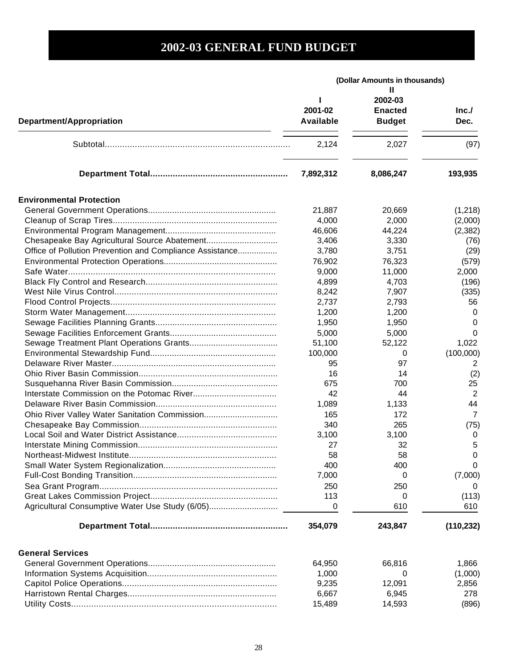|                                                          | (Dollar Amounts in thousands) |                                                 |                |
|----------------------------------------------------------|-------------------------------|-------------------------------------------------|----------------|
| Department/Appropriation                                 | 2001-02<br>Available          | Ш<br>2002-03<br><b>Enacted</b><br><b>Budget</b> | Inc.<br>Dec.   |
|                                                          | 2,124                         | 2,027                                           | (97)           |
|                                                          | 7,892,312                     | 8,086,247                                       | 193,935        |
| <b>Environmental Protection</b>                          |                               |                                                 |                |
|                                                          | 21,887                        | 20,669                                          | (1,218)        |
|                                                          | 4,000                         | 2,000                                           | (2,000)        |
|                                                          | 46,606                        | 44,224                                          | (2, 382)       |
|                                                          | 3,406                         | 3,330                                           | (76)           |
| Office of Pollution Prevention and Compliance Assistance | 3,780                         | 3,751                                           | (29)           |
|                                                          | 76,902                        | 76,323                                          | (579)          |
|                                                          | 9,000                         | 11,000                                          | 2,000          |
|                                                          |                               |                                                 |                |
|                                                          | 4,899                         | 4,703                                           | (196)          |
|                                                          | 8,242                         | 7,907                                           | (335)          |
|                                                          | 2,737                         | 2,793                                           | 56             |
|                                                          | 1,200                         | 1,200                                           | 0              |
|                                                          | 1,950                         | 1,950                                           | 0              |
|                                                          | 5,000                         | 5,000                                           | 0              |
|                                                          | 51,100                        | 52,122                                          | 1,022          |
|                                                          | 100,000                       | 0                                               | (100,000)      |
|                                                          | 95                            | 97                                              | 2              |
|                                                          | 16                            | 14                                              | (2)            |
|                                                          | 675                           | 700                                             | 25             |
|                                                          | 42                            | 44                                              | $\overline{2}$ |
|                                                          | 1,089                         | 1,133                                           | 44             |
|                                                          | 165                           | 172                                             | $\overline{7}$ |
|                                                          | 340                           | 265                                             | (75)           |
|                                                          | 3,100                         | 3,100                                           | 0              |
|                                                          | 27                            | 32                                              | 5              |
|                                                          | 58                            | 58                                              | $\mathbf 0$    |
|                                                          | 400                           | 400                                             | 0              |
|                                                          | 7,000                         | 0                                               | (7,000)        |
|                                                          | 250                           | 250                                             | 0              |
|                                                          | 113                           | 0                                               | (113)          |
| Agricultural Consumptive Water Use Study (6/05)          | 0                             | 610                                             | 610            |
|                                                          |                               |                                                 |                |
|                                                          | 354,079                       | 243,847                                         | (110, 232)     |
| <b>General Services</b>                                  |                               |                                                 |                |
|                                                          | 64,950                        | 66,816                                          | 1,866          |
|                                                          | 1,000                         | 0                                               | (1,000)        |
|                                                          | 9,235                         | 12,091                                          | 2,856          |
|                                                          | 6,667                         | 6,945                                           | 278            |
|                                                          | 15,489                        | 14,593                                          | (896)          |
|                                                          |                               |                                                 |                |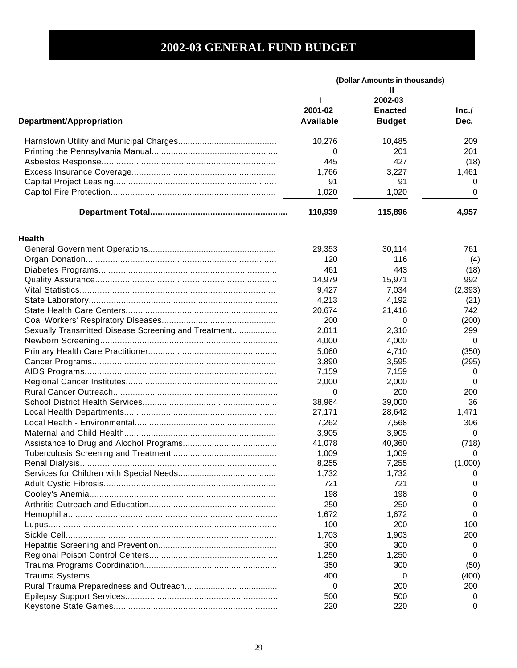|                                                      | (Dollar Amounts in thousands) |                                                 |              |
|------------------------------------------------------|-------------------------------|-------------------------------------------------|--------------|
| Department/Appropriation                             | 2001-02<br>Available          | Ш<br>2002-03<br><b>Enacted</b><br><b>Budget</b> | Inc.<br>Dec. |
|                                                      | 10,276                        | 10,485                                          | 209          |
|                                                      | 0                             | 201                                             | 201          |
|                                                      | 445                           | 427                                             | (18)         |
|                                                      | 1,766                         | 3,227                                           | 1,461        |
|                                                      | 91                            | 91                                              | 0            |
|                                                      | 1,020                         | 1,020                                           | 0            |
|                                                      | 110,939                       | 115,896                                         | 4,957        |
|                                                      |                               |                                                 |              |
| <b>Health</b>                                        |                               |                                                 |              |
|                                                      | 29,353                        | 30,114                                          | 761          |
|                                                      | 120                           | 116                                             | (4)          |
|                                                      | 461                           | 443                                             | (18)         |
|                                                      | 14,979                        | 15,971                                          | 992          |
|                                                      | 9,427                         | 7,034                                           | (2, 393)     |
|                                                      | 4,213                         | 4,192                                           | (21)         |
|                                                      | 20,674                        | 21,416                                          | 742          |
|                                                      | 200                           | 0                                               | (200)        |
| Sexually Transmitted Disease Screening and Treatment | 2,011                         | 2,310                                           | 299          |
|                                                      | 4,000                         | 4,000                                           | 0            |
|                                                      | 5,060                         | 4,710                                           | (350)        |
|                                                      | 3,890                         | 3,595                                           | (295)        |
|                                                      | 7,159                         | 7,159                                           | $\Omega$     |
|                                                      | 2,000                         | 2,000                                           | $\Omega$     |
|                                                      | 0                             | 200                                             | 200          |
|                                                      | 38,964                        | 39,000                                          | 36           |
|                                                      | 27,171                        | 28,642                                          | 1,471        |
|                                                      | 7,262                         | 7,568                                           | 306          |
|                                                      | 3,905                         | 3,905                                           | 0            |
|                                                      | 41,078                        | 40,360                                          | (718)        |
|                                                      | 1,009                         | 1,009                                           | 0            |
|                                                      | 8,255                         | 7,255                                           | (1,000)      |
|                                                      | 1,732                         | 1,732                                           |              |
|                                                      | 721                           | 721                                             |              |
|                                                      | 198                           | 198                                             |              |
|                                                      | 250                           | 250                                             |              |
|                                                      | 1,672                         | 1,672                                           |              |
|                                                      | 100                           | 200                                             | 100          |
|                                                      | 1,703                         | 1,903                                           | 200          |
|                                                      | 300                           | 300                                             | 0            |
|                                                      | 1,250                         | 1,250                                           | $\Omega$     |
|                                                      | 350                           | 300                                             | (50)         |
|                                                      | 400                           | 0                                               | (400)        |
|                                                      | 0                             | 200                                             | 200          |
|                                                      | 500                           | 500                                             | 0            |
|                                                      |                               |                                                 |              |
|                                                      | 220                           | 220                                             | O            |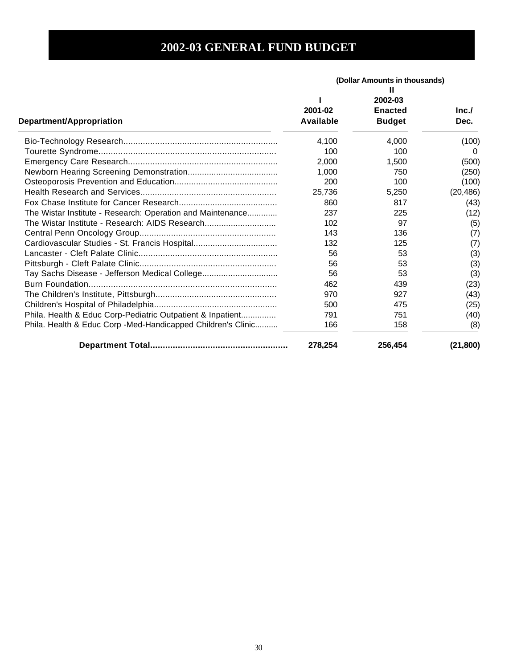|                                                              | (Dollar Amounts in thousands) |                                                 |              |
|--------------------------------------------------------------|-------------------------------|-------------------------------------------------|--------------|
| Department/Appropriation                                     | 2001-02<br><b>Available</b>   | Ш<br>2002-03<br><b>Enacted</b><br><b>Budget</b> | Inc.<br>Dec. |
|                                                              | 4,100                         | 4,000                                           | (100)        |
|                                                              | 100                           | 100                                             | $\Omega$     |
|                                                              | 2.000                         | 1,500                                           | (500)        |
|                                                              | 1,000                         | 750                                             | (250)        |
|                                                              | 200                           | 100                                             | (100)        |
|                                                              | 25,736                        | 5,250                                           | (20, 486)    |
|                                                              | 860                           | 817                                             | (43)         |
| The Wistar Institute - Research: Operation and Maintenance   | 237                           | 225                                             | (12)         |
| The Wistar Institute - Research: AIDS Research               | 102                           | 97                                              | (5)          |
|                                                              | 143                           | 136                                             | (7)          |
| Cardiovascular Studies - St. Francis Hospital                | 132                           | 125                                             | (7)          |
|                                                              | 56                            | 53                                              | (3)          |
|                                                              | 56                            | 53                                              | (3)          |
|                                                              | 56                            | 53                                              | (3)          |
|                                                              | 462                           | 439                                             | (23)         |
|                                                              | 970                           | 927                                             | (43)         |
|                                                              | 500                           | 475                                             | (25)         |
| Phila. Health & Educ Corp-Pediatric Outpatient & Inpatient   | 791                           | 751                                             | (40)         |
| Phila. Health & Educ Corp -Med-Handicapped Children's Clinic | 166                           | 158                                             | (8)          |
|                                                              | 278,254                       | 256,454                                         | (21, 800)    |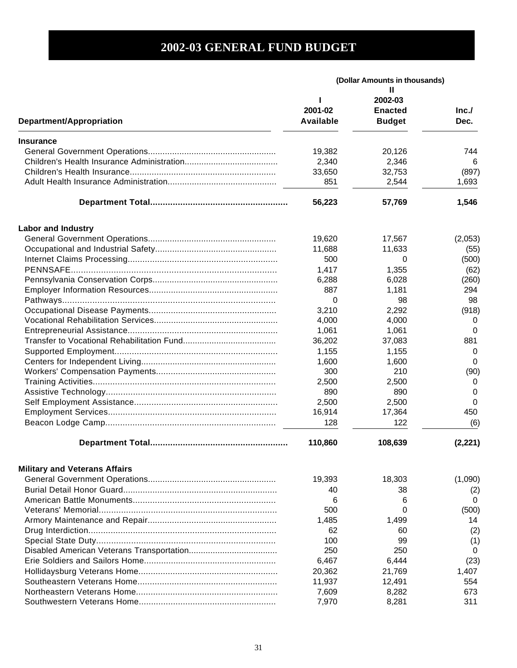|                                      | (Dollar Amounts in thousands) |                                            |              |
|--------------------------------------|-------------------------------|--------------------------------------------|--------------|
| Department/Appropriation             | 2001-02<br><b>Available</b>   | 2002-03<br><b>Enacted</b><br><b>Budget</b> | Inc.<br>Dec. |
| <b>Insurance</b>                     |                               |                                            |              |
|                                      | 19,382                        | 20,126                                     | 744          |
|                                      | 2,340                         | 2,346                                      | 6            |
|                                      | 33,650                        | 32,753                                     | (897)        |
|                                      | 851                           | 2,544                                      | 1,693        |
|                                      | 56,223                        | 57,769                                     | 1,546        |
| <b>Labor and Industry</b>            |                               |                                            |              |
|                                      | 19,620                        | 17,567                                     | (2,053)      |
|                                      | 11,688                        | 11,633                                     | (55)         |
|                                      | 500                           | 0                                          | (500)        |
|                                      | 1,417                         | 1,355                                      | (62)         |
|                                      | 6,288                         | 6,028                                      | (260)        |
|                                      | 887                           | 1,181                                      | 294          |
|                                      | 0                             | 98                                         | 98           |
|                                      | 3,210                         | 2,292                                      | (918)        |
|                                      | 4,000                         | 4,000                                      | 0            |
|                                      | 1,061                         | 1,061                                      | 0            |
|                                      | 36,202                        | 37,083                                     | 881          |
|                                      | 1,155                         | 1,155                                      | 0            |
|                                      | 1,600                         | 1,600                                      | 0            |
|                                      | 300                           | 210                                        | (90)         |
|                                      | 2,500                         | 2,500                                      | 0            |
|                                      | 890                           | 890                                        | 0            |
|                                      | 2,500                         | 2,500                                      | 0            |
|                                      | 16,914                        | 17,364                                     | 450          |
|                                      | 128                           | 122                                        | (6)          |
|                                      |                               |                                            |              |
|                                      | 110,860                       | 108,639                                    | (2, 221)     |
| <b>Military and Veterans Affairs</b> |                               |                                            |              |
|                                      | 19,393                        | 18,303                                     | (1,090)      |
|                                      | 40                            | 38                                         | (2)          |
|                                      | 6                             | 6                                          | 0            |
|                                      | 500                           | 0                                          | (500)        |
|                                      | 1,485                         | 1,499                                      | 14           |
|                                      | 62                            | 60                                         | (2)          |
|                                      | 100                           | 99                                         | (1)          |
|                                      | 250                           | 250                                        | 0            |
|                                      | 6,467                         | 6,444                                      | (23)         |
|                                      | 20,362                        | 21,769                                     | 1,407        |
|                                      | 11,937                        | 12,491                                     | 554          |
|                                      | 7,609                         | 8,282                                      | 673          |
|                                      | 7,970                         | 8,281                                      | 311          |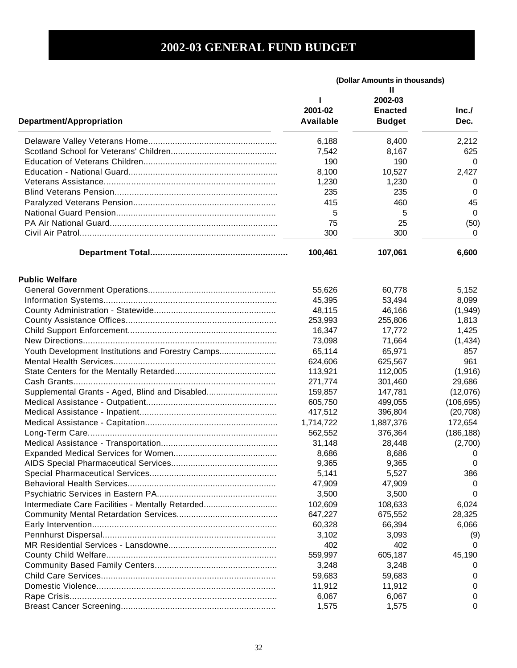|                                                   | (Dollar Amounts in thousands)<br>Ш |                                            |              |
|---------------------------------------------------|------------------------------------|--------------------------------------------|--------------|
| Department/Appropriation                          | 2001-02<br>Available               | 2002-03<br><b>Enacted</b><br><b>Budget</b> | Inc.<br>Dec. |
|                                                   | 6,188                              | 8,400                                      | 2,212        |
|                                                   | 7,542                              | 8,167                                      | 625          |
|                                                   | 190                                | 190                                        | 0            |
|                                                   | 8,100                              | 10,527                                     | 2,427        |
|                                                   | 1,230                              | 1,230                                      | 0            |
|                                                   | 235                                | 235                                        | 0            |
|                                                   | 415                                | 460                                        | 45           |
|                                                   | 5                                  | 5                                          | 0            |
|                                                   | 75                                 | 25                                         | (50)         |
|                                                   | 300                                | 300                                        | 0            |
|                                                   |                                    |                                            |              |
|                                                   | 100,461                            | 107,061                                    | 6,600        |
| <b>Public Welfare</b>                             |                                    |                                            |              |
|                                                   | 55,626                             | 60,778                                     | 5,152        |
|                                                   | 45,395                             | 53,494                                     | 8,099        |
|                                                   | 48,115                             | 46,166                                     | (1,949)      |
|                                                   | 253,993                            | 255,806                                    | 1,813        |
|                                                   | 16,347                             | 17,772                                     | 1,425        |
|                                                   | 73,098                             | 71,664                                     | (1, 434)     |
| Youth Development Institutions and Forestry Camps | 65,114                             | 65,971                                     | 857          |
|                                                   | 624,606                            | 625,567                                    | 961          |
|                                                   | 113,921                            | 112,005                                    | (1,916)      |
|                                                   | 271,774                            | 301,460                                    | 29,686       |
| Supplemental Grants - Aged, Blind and Disabled    | 159,857                            | 147,781                                    | (12,076)     |
|                                                   | 605,750                            | 499,055                                    | (106, 695)   |
|                                                   | 417,512                            | 396,804                                    | (20, 708)    |
|                                                   | 1,714,722                          | 1,887,376                                  | 172,654      |
|                                                   | 562,552                            | 376,364                                    | (186, 188)   |
|                                                   | 31,148                             | 28,448                                     | (2,700)      |
|                                                   | 8,686                              | 8,686                                      | 0            |
|                                                   | 9,365                              | 9,365                                      | 0            |
|                                                   | 5,141                              | 5,527                                      | 386          |
|                                                   | 47,909                             | 47,909                                     | 0            |
|                                                   | 3,500                              | 3,500                                      | 0            |
| Intermediate Care Facilities - Mentally Retarded  | 102,609                            | 108,633                                    | 6,024        |
|                                                   | 647,227                            | 675,552                                    | 28,325       |
|                                                   | 60,328                             | 66,394                                     | 6,066        |
|                                                   | 3,102                              | 3,093                                      | (9)          |
|                                                   | 402                                | 402                                        | 0            |
|                                                   | 559,997                            | 605,187                                    | 45,190       |
|                                                   | 3,248                              | 3,248                                      | O            |
|                                                   | 59,683                             | 59,683                                     |              |
|                                                   |                                    |                                            | O            |
|                                                   | 11,912                             | 11,912                                     | 0            |
|                                                   | 6,067                              | 6,067                                      | O            |
|                                                   | 1,575                              | 1,575                                      | 0            |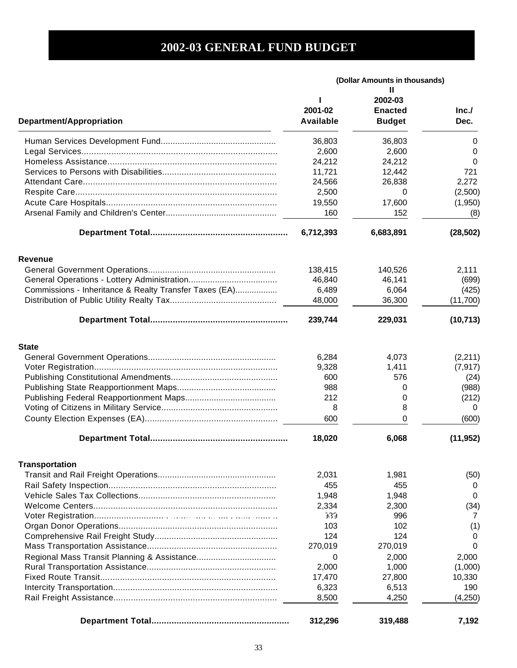|                                                        | (Dollar Amounts in thousands) |                |           |
|--------------------------------------------------------|-------------------------------|----------------|-----------|
|                                                        |                               | 2002-03        |           |
|                                                        | 2001-02                       | <b>Enacted</b> | Inc.      |
| <b>Department/Appropriation</b>                        | Available                     | <b>Budget</b>  | Dec.      |
|                                                        | 36,803                        | 36,803         | 0         |
|                                                        | 2,600                         | 2,600          | 0         |
|                                                        | 24,212                        | 24,212         | 0         |
|                                                        | 11,721                        | 12,442         | 721       |
|                                                        | 24,566                        | 26,838         | 2,272     |
|                                                        | 2,500                         | 0              | (2,500)   |
|                                                        | 19,550                        | 17,600         | (1,950)   |
|                                                        | 160                           | 152            | (8)       |
|                                                        | 6,712,393                     | 6,683,891      | (28, 502) |
| <b>Revenue</b>                                         |                               |                |           |
|                                                        | 138,415                       | 140,526        | 2,111     |
|                                                        | 46,840                        | 46,141         | (699)     |
| Commissions - Inheritance & Realty Transfer Taxes (EA) | 6,489                         | 6,064          | (425)     |
|                                                        | 48,000                        | 36,300         | (11,700)  |
|                                                        | 239,744                       | 229,031        | (10, 713) |
| <b>State</b>                                           |                               |                |           |
|                                                        | 6,284                         | 4,073          | (2,211)   |
|                                                        | 9,328                         | 1,411          | (7, 917)  |
|                                                        | 600                           | 576            | (24)      |
|                                                        | 988                           | 0              | (988)     |
|                                                        | 212                           | 0              | (212)     |
|                                                        | 8                             | 8              | $\Omega$  |
|                                                        | 600                           | 0              | (600)     |
|                                                        | 18,020                        | 6,068          | (11, 952) |
| <b>Transportation</b>                                  |                               |                |           |
|                                                        | 2,031                         | 1,981          | (50)      |
|                                                        | 455                           | 455            | 0         |
|                                                        | 1,948                         | 1,948          | 0         |
|                                                        | 2,334                         | 2,300          | (34)      |
|                                                        | 939                           | 996            | 7         |
|                                                        | 103                           | 102            | (1)       |
|                                                        | 124                           | 124            | 0         |
|                                                        | 270,019                       | 270,019        | 0         |
|                                                        | 0                             | 2,000          | 2,000     |
|                                                        | 2,000                         | 1,000          | (1,000)   |
|                                                        | 17,470                        | 27,800         | 10,330    |
|                                                        | 6,323                         | 6,513          | 190       |
|                                                        | 8,500                         | 4,250          | (4,250)   |
|                                                        | 312,296                       | 319,488        | 7,192     |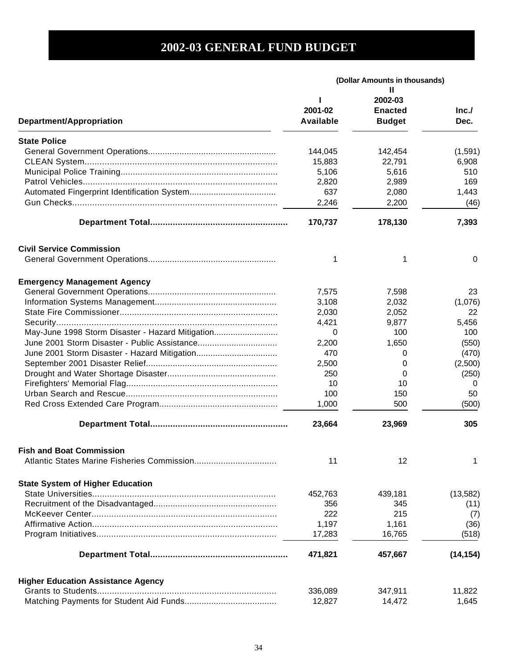|                                                  | (Dollar Amounts in thousands) |                |           |
|--------------------------------------------------|-------------------------------|----------------|-----------|
|                                                  |                               |                |           |
|                                                  |                               | 2002-03        |           |
|                                                  | 2001-02                       | <b>Enacted</b> | Inc.      |
| Department/Appropriation                         | Available                     | <b>Budget</b>  | Dec.      |
| <b>State Police</b>                              |                               |                |           |
|                                                  | 144,045                       | 142,454        | (1,591)   |
|                                                  | 15,883                        | 22,791         | 6,908     |
|                                                  | 5,106                         | 5,616          | 510       |
|                                                  | 2,820                         | 2,989          | 169       |
|                                                  | 637                           |                | 1,443     |
|                                                  |                               | 2,080          |           |
|                                                  | 2,246                         | 2,200          | (46)      |
|                                                  | 170,737                       | 178,130        | 7,393     |
| <b>Civil Service Commission</b>                  |                               |                |           |
|                                                  | 1                             | 1              | 0         |
| <b>Emergency Management Agency</b>               |                               |                |           |
|                                                  | 7,575                         | 7,598          | 23        |
|                                                  | 3,108                         | 2,032          | (1,076)   |
|                                                  | 2,030                         | 2,052          | 22        |
|                                                  | 4,421                         | 9,877          | 5,456     |
| May-June 1998 Storm Disaster - Hazard Mitigation | 0                             | 100            | 100       |
|                                                  |                               |                |           |
|                                                  | 2,200                         | 1,650          | (550)     |
|                                                  | 470                           | 0              | (470)     |
|                                                  | 2,500                         | 0              | (2,500)   |
|                                                  | 250                           | 0              | (250)     |
|                                                  | 10                            | 10             | 0         |
|                                                  | 100                           | 150            | 50        |
|                                                  | 1,000                         | 500            | (500)     |
|                                                  | 23,664                        | 23,969         | 305       |
| <b>Fish and Boat Commission</b>                  |                               |                |           |
|                                                  | 11                            | 12             | 1         |
| <b>State System of Higher Education</b>          |                               |                |           |
|                                                  | 452,763                       | 439,181        | (13, 582) |
|                                                  | 356                           | 345            | (11)      |
|                                                  | 222                           | 215            | (7)       |
|                                                  | 1,197                         | 1,161          | (36)      |
|                                                  | 17,283                        | 16,765         | (518)     |
|                                                  | 471,821                       | 457,667        | (14, 154) |
|                                                  |                               |                |           |
| <b>Higher Education Assistance Agency</b>        |                               |                |           |
|                                                  | 336,089                       | 347,911        | 11,822    |
|                                                  | 12,827                        | 14,472         | 1,645     |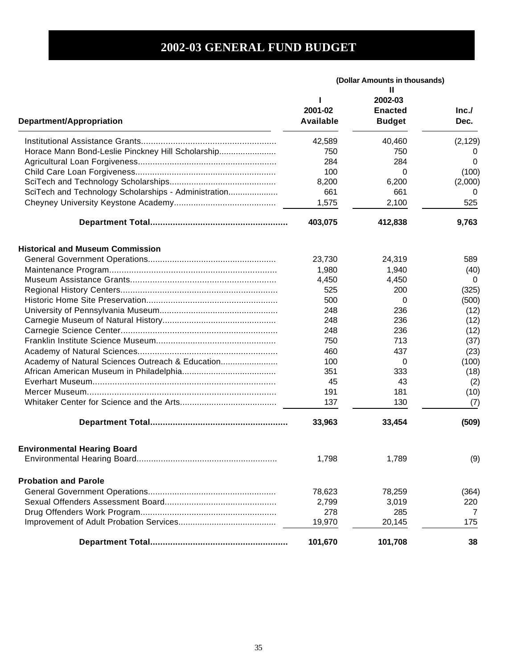|                                                      | (Dollar Amounts in thousands) |                                                 |              |
|------------------------------------------------------|-------------------------------|-------------------------------------------------|--------------|
| <b>Department/Appropriation</b>                      | 2001-02<br>Available          | Ш<br>2002-03<br><b>Enacted</b><br><b>Budget</b> | Inc.<br>Dec. |
|                                                      | 42,589                        | 40,460                                          | (2, 129)     |
| Horace Mann Bond-Leslie Pinckney Hill Scholarship    | 750                           | 750                                             |              |
|                                                      | 284                           | 284                                             | 0            |
|                                                      | 100                           | 0                                               | (100)        |
|                                                      | 8,200                         | 6,200                                           | (2,000)      |
| SciTech and Technology Scholarships - Administration | 661                           | 661                                             | $\Omega$     |
|                                                      | 1,575                         | 2,100                                           | 525          |
|                                                      | 403,075                       | 412,838                                         | 9,763        |
| <b>Historical and Museum Commission</b>              |                               |                                                 |              |
|                                                      | 23,730                        | 24,319                                          | 589          |
|                                                      | 1,980                         | 1,940                                           | (40)         |
|                                                      | 4,450                         | 4,450                                           | 0            |
|                                                      | 525                           | 200                                             | (325)        |
|                                                      | 500                           | 0                                               | (500)        |
|                                                      | 248                           | 236                                             | (12)         |
|                                                      | 248                           | 236                                             | (12)         |
|                                                      | 248                           | 236                                             | (12)         |
|                                                      | 750                           | 713                                             | (37)         |
|                                                      | 460                           | 437                                             | (23)         |
| Academy of Natural Sciences Outreach & Education     | 100                           | 0                                               | (100)        |
|                                                      | 351                           | 333                                             | (18)         |
|                                                      | 45                            | 43                                              | (2)          |
|                                                      | 191                           | 181                                             | (10)         |
|                                                      | 137                           | 130                                             | (7)          |
|                                                      | 33,963                        | 33,454                                          | (509)        |
| <b>Environmental Hearing Board</b>                   |                               |                                                 |              |
|                                                      | 1,798                         | 1,789                                           | (9)          |
| <b>Probation and Parole</b>                          |                               |                                                 |              |
|                                                      | 78,623                        | 78,259                                          | (364)        |
|                                                      | 2,799                         | 3,019                                           | 220          |
|                                                      | 278                           | 285                                             | 7            |
|                                                      | 19,970                        | 20,145                                          | 175          |
|                                                      | 101,670                       | 101,708                                         | 38           |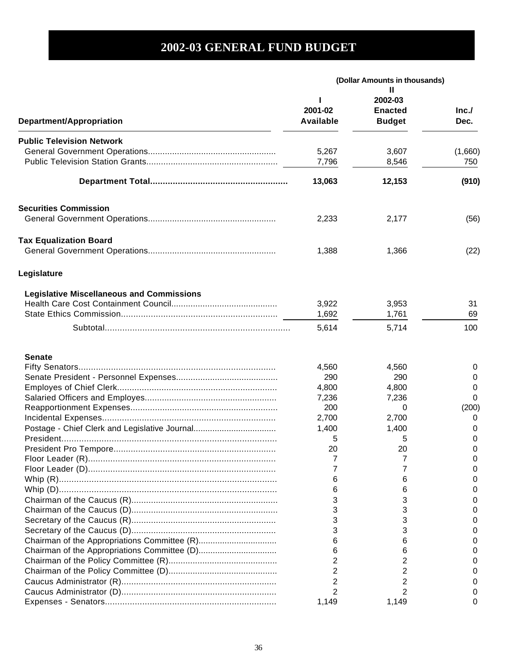|                                                  | (Dollar Amounts in thousands) |                                            |                |
|--------------------------------------------------|-------------------------------|--------------------------------------------|----------------|
| <b>Department/Appropriation</b>                  | 2001-02<br>Available          | 2002-03<br><b>Enacted</b><br><b>Budget</b> | Inc.<br>Dec.   |
| <b>Public Television Network</b>                 | 5,267<br>7,796                | 3,607<br>8,546                             | (1,660)<br>750 |
|                                                  | 13,063                        | 12,153                                     | (910)          |
| <b>Securities Commission</b>                     |                               |                                            |                |
|                                                  | 2,233                         | 2,177                                      | (56)           |
| <b>Tax Equalization Board</b>                    | 1,388                         | 1,366                                      | (22)           |
| Legislature                                      |                               |                                            |                |
| <b>Legislative Miscellaneous and Commissions</b> |                               |                                            |                |
|                                                  | 3,922                         | 3,953                                      | 31             |
|                                                  | 1,692                         | 1,761                                      | 69             |
|                                                  | 5,614                         | 5,714                                      | 100            |
| <b>Senate</b>                                    |                               |                                            |                |
|                                                  | 4,560                         | 4,560                                      | 0              |
|                                                  | 290                           | 290                                        | 0              |
|                                                  | 4,800                         | 4,800                                      | 0              |
|                                                  | 7,236                         | 7,236                                      | 0              |
|                                                  | 200                           | 0                                          | (200)          |
|                                                  | 2,700                         | 2,700                                      | 0              |
|                                                  | 1,400                         | 1,400                                      | 0              |
|                                                  | 5                             | 5                                          | 0              |
|                                                  | 20                            | 20                                         | 0              |
|                                                  |                               |                                            |                |
|                                                  |                               |                                            |                |
|                                                  | 6                             | 6                                          |                |
|                                                  | 6                             | 6                                          |                |
|                                                  | 3                             | 3                                          |                |
|                                                  | 3                             | 3                                          |                |
|                                                  | 3                             | 3                                          |                |
|                                                  | 3                             | 3                                          |                |
|                                                  | 6                             | 6                                          |                |
|                                                  | 6                             | 6                                          |                |
|                                                  | 2                             | 2                                          |                |
|                                                  | 2                             | 2                                          |                |
|                                                  | 2                             | 2                                          |                |
|                                                  | 2                             | 2                                          |                |
|                                                  | 1,149                         | 1,149                                      | 0              |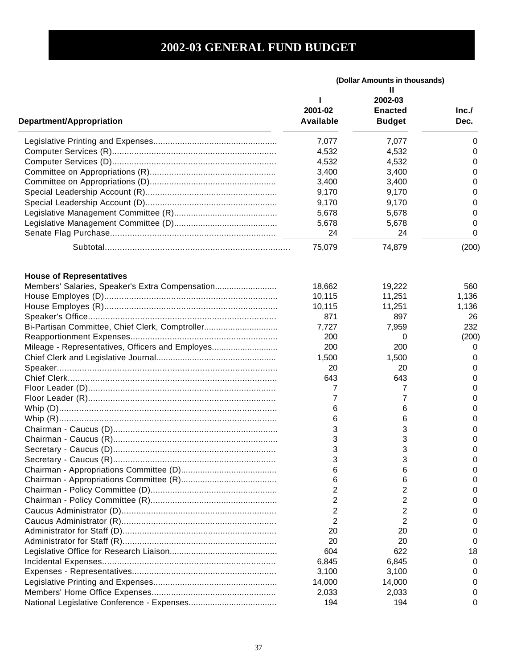|                                                  | (Dollar Amounts in thousands) |                                            |                |
|--------------------------------------------------|-------------------------------|--------------------------------------------|----------------|
| <b>Department/Appropriation</b>                  | 2001-02<br><b>Available</b>   | 2002-03<br><b>Enacted</b><br><b>Budget</b> | Inc.<br>Dec.   |
|                                                  | 7,077                         | 7,077                                      | 0              |
|                                                  | 4,532                         | 4,532                                      | 0              |
|                                                  | 4,532                         | 4,532                                      | 0              |
|                                                  | 3,400                         | 3,400                                      | 0              |
|                                                  | 3,400                         | 3,400                                      | $\Omega$       |
|                                                  | 9,170                         | 9,170                                      | $\Omega$       |
|                                                  | 9,170                         | 9,170                                      | 0              |
|                                                  | 5,678                         | 5,678                                      | 0              |
|                                                  | 5,678                         | 5,678                                      | 0              |
|                                                  | 24                            | 24                                         | 0              |
|                                                  |                               |                                            |                |
|                                                  | 75,079                        | 74,879                                     | (200)          |
| <b>House of Representatives</b>                  | 18,662                        | 19,222                                     | 560            |
| Members' Salaries, Speaker's Extra Compensation  |                               |                                            |                |
|                                                  | 10,115                        | 11,251                                     | 1,136<br>1,136 |
|                                                  | 10,115<br>871                 | 11,251<br>897                              |                |
|                                                  |                               |                                            | 26<br>232      |
| Bi-Partisan Committee, Chief Clerk, Comptroller  | 7,727<br>200                  | 7,959                                      |                |
|                                                  |                               | 0                                          | (200)          |
| Mileage - Representatives, Officers and Employes | 200                           | 200                                        | 0              |
|                                                  | 1,500                         | 1,500                                      | 0              |
|                                                  | 20                            | 20                                         | 0              |
|                                                  | 643                           | 643                                        | $\Omega$       |
|                                                  | 7                             | 7                                          | $\Omega$       |
|                                                  | 7                             | 7                                          | $\Omega$       |
|                                                  | 6                             | 6                                          | $\Omega$       |
|                                                  | 6                             | 6                                          | $\Omega$       |
|                                                  | 3                             | 3                                          | 0              |
|                                                  | 3                             | 3                                          | 0              |
|                                                  | 3                             | 3                                          | 0              |
|                                                  | 3                             | 3                                          | O              |
|                                                  |                               | 6                                          | O              |
|                                                  |                               | 6                                          | $\mathbf{0}$   |
|                                                  | 2                             | 2                                          | $\mathbf{0}$   |
|                                                  | 2                             | 2                                          | $\mathbf{0}$   |
|                                                  | 2                             | 2                                          | $\mathbf{0}$   |
|                                                  | 2                             | 2                                          | $\mathbf{0}$   |
|                                                  | 20                            | 20                                         | $\mathbf{0}$   |
|                                                  | 20                            | 20                                         | 0              |
|                                                  | 604                           | 622                                        | 18             |
|                                                  | 6,845                         | 6,845                                      | 0              |
|                                                  | 3,100                         | 3,100                                      | $\mathbf{0}$   |
|                                                  | 14,000                        | 14,000                                     |                |
|                                                  | 2,033                         | 2,033                                      |                |
|                                                  | 194                           | 194                                        | 0              |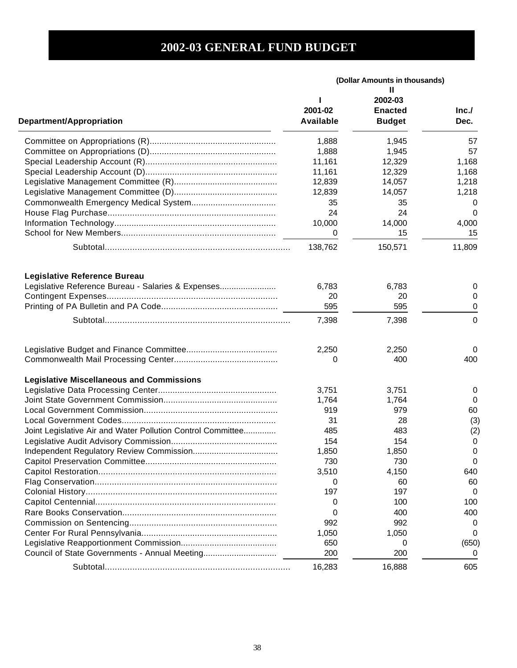|                                                                                           | (Dollar Amounts in thousands) |                |          |
|-------------------------------------------------------------------------------------------|-------------------------------|----------------|----------|
|                                                                                           |                               | Ш              |          |
|                                                                                           |                               | 2002-03        |          |
|                                                                                           | 2001-02                       | <b>Enacted</b> | Inc.     |
| Department/Appropriation                                                                  | Available                     | <b>Budget</b>  | Dec.     |
|                                                                                           | 1,888                         | 1,945          | 57       |
|                                                                                           | 1,888                         | 1,945          | 57       |
|                                                                                           | 11,161                        | 12,329         | 1,168    |
|                                                                                           | 11,161                        | 12,329         | 1,168    |
|                                                                                           | 12,839                        | 14,057         | 1,218    |
|                                                                                           | 12,839                        | 14,057         | 1,218    |
|                                                                                           | 35                            | 35             | 0        |
|                                                                                           | 24                            | 24             | 0        |
|                                                                                           | 10,000                        | 14,000         | 4,000    |
|                                                                                           | 0                             | 15             | 15       |
|                                                                                           |                               |                |          |
|                                                                                           | 138,762                       | 150,571        | 11,809   |
|                                                                                           |                               |                |          |
| <b>Legislative Reference Bureau</b><br>Legislative Reference Bureau - Salaries & Expenses | 6,783                         | 6.783          | 0        |
|                                                                                           | 20                            | 20             | 0        |
|                                                                                           | 595                           | 595            | 0        |
|                                                                                           | 7,398                         | 7,398          | 0        |
|                                                                                           |                               |                |          |
|                                                                                           | 2,250                         | 2,250          | 0        |
|                                                                                           | 0                             | 400            | 400      |
| <b>Legislative Miscellaneous and Commissions</b>                                          |                               |                |          |
|                                                                                           | 3,751                         | 3,751          | 0        |
|                                                                                           | 1,764                         | 1,764          | 0        |
|                                                                                           | 919                           | 979            | 60       |
|                                                                                           | 31                            | 28             | (3)      |
| Joint Legislative Air and Water Pollution Control Committee                               | 485                           | 483            | (2)      |
|                                                                                           | 154                           | 154            | 0        |
|                                                                                           | 1,850                         | 1,850          | 0        |
|                                                                                           | 730                           | 730            | 0        |
|                                                                                           | 3,510                         | 4,150          | 640      |
|                                                                                           | 0                             | 60             | 60       |
|                                                                                           | 197                           | 197            | 0        |
|                                                                                           | 0                             | 100            | 100      |
|                                                                                           | 0                             | 400            | 400      |
|                                                                                           | 992                           | 992            | 0        |
|                                                                                           | 1,050                         | 1,050          | 0        |
|                                                                                           | 650                           | O              | (650)    |
| Council of State Governments - Annual Meeting                                             | 200                           | 200            | $\Omega$ |
|                                                                                           | 16,283                        | 16,888         | 605      |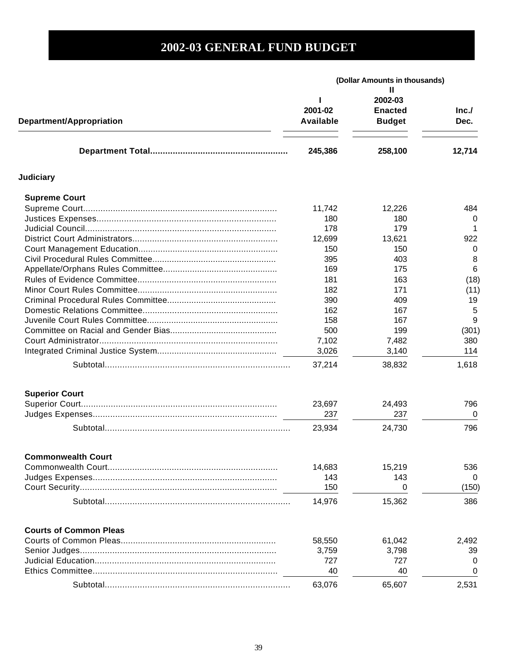| <b>Department/Appropriation</b> | (Dollar Amounts in thousands) |                                                 |              |
|---------------------------------|-------------------------------|-------------------------------------------------|--------------|
|                                 | 2001-02<br>Available          | н<br>2002-03<br><b>Enacted</b><br><b>Budget</b> | Inc.<br>Dec. |
|                                 | 245,386                       | 258,100                                         | 12,714       |
| <b>Judiciary</b>                |                               |                                                 |              |
| <b>Supreme Court</b>            |                               |                                                 |              |
|                                 | 11,742                        | 12,226                                          | 484          |
|                                 | 180                           | 180                                             | 0            |
|                                 | 178                           | 179                                             |              |
|                                 | 12,699                        | 13,621                                          | 922          |
|                                 | 150                           | 150                                             | 0            |
|                                 | 395                           | 403                                             | 8            |
|                                 | 169                           | 175                                             | 6            |
|                                 | 181                           | 163                                             | (18)         |
|                                 | 182                           | 171                                             | (11)         |
|                                 | 390                           | 409                                             | 19           |
|                                 | 162                           | 167                                             | 5            |
|                                 | 158                           | 167                                             | 9            |
|                                 | 500                           | 199                                             | (301)        |
|                                 | 7,102                         | 7,482                                           | 380          |
|                                 | 3,026                         | 3,140                                           | 114          |
|                                 | 37,214                        | 38,832                                          | 1,618        |
| <b>Superior Court</b>           |                               |                                                 |              |
|                                 | 23,697                        | 24,493                                          | 796          |
|                                 | 237                           | 237                                             | 0            |
|                                 | 23,934                        | 24,730                                          | 796          |
| Commonwealth Court              |                               |                                                 |              |
|                                 | 14,683                        | 15,219                                          | 536          |
|                                 | 143                           | 143                                             | 0            |
|                                 | 150                           | 0                                               | (150)        |
|                                 | 14,976                        | 15,362                                          | 386          |
| <b>Courts of Common Pleas</b>   |                               |                                                 |              |
|                                 | 58,550                        | 61,042                                          | 2,492        |
|                                 | 3,759                         | 3,798                                           | 39           |
|                                 | 727                           | 727                                             | O            |
|                                 | 40                            | 40                                              | 0            |
|                                 | 63,076                        | 65,607                                          | 2,531        |
|                                 |                               |                                                 |              |